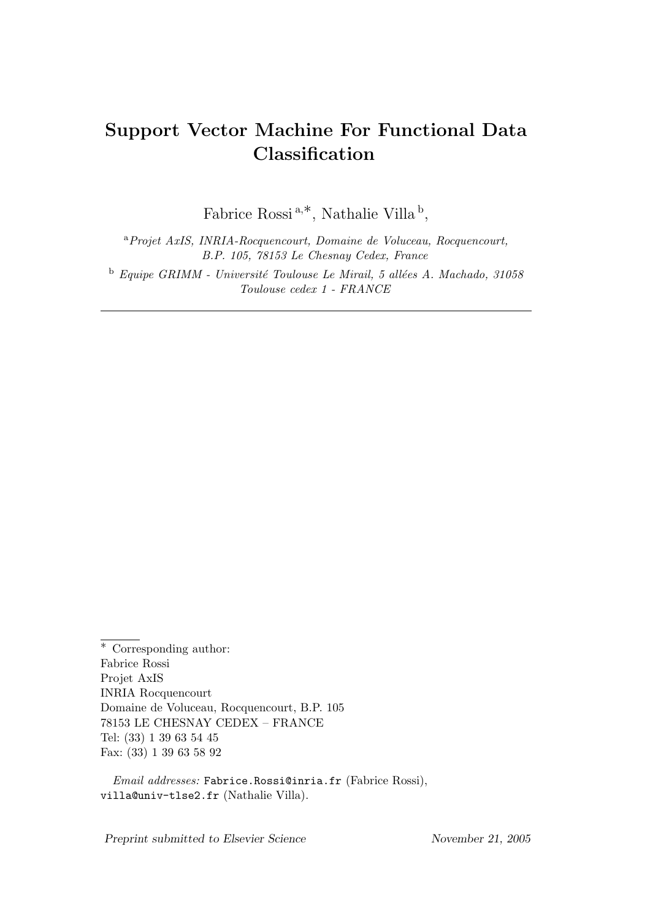# Support Vector Machine For Functional Data Classification

Fabrice Rossi<sup>a,\*</sup>, Nathalie Villa<sup>b</sup>,

<sup>a</sup>Projet AxIS, INRIA-Rocquencourt, Domaine de Voluceau, Rocquencourt, B.P. 105, 78153 Le Chesnay Cedex, France  $b$  Equipe GRIMM - Université Toulouse Le Mirail, 5 allées A. Machado, 31058 Toulouse cedex 1 - FRANCE

Preprint submitted to Elsevier Science November 21, 2005

<sup>∗</sup> Corresponding author: Fabrice Rossi Projet AxIS INRIA Rocquencourt Domaine de Voluceau, Rocquencourt, B.P. 105 78153 LE CHESNAY CEDEX – FRANCE Tel: (33) 1 39 63 54 45 Fax: (33) 1 39 63 58 92

Email addresses: Fabrice.Rossi@inria.fr (Fabrice Rossi), villa@univ-tlse2.fr (Nathalie Villa).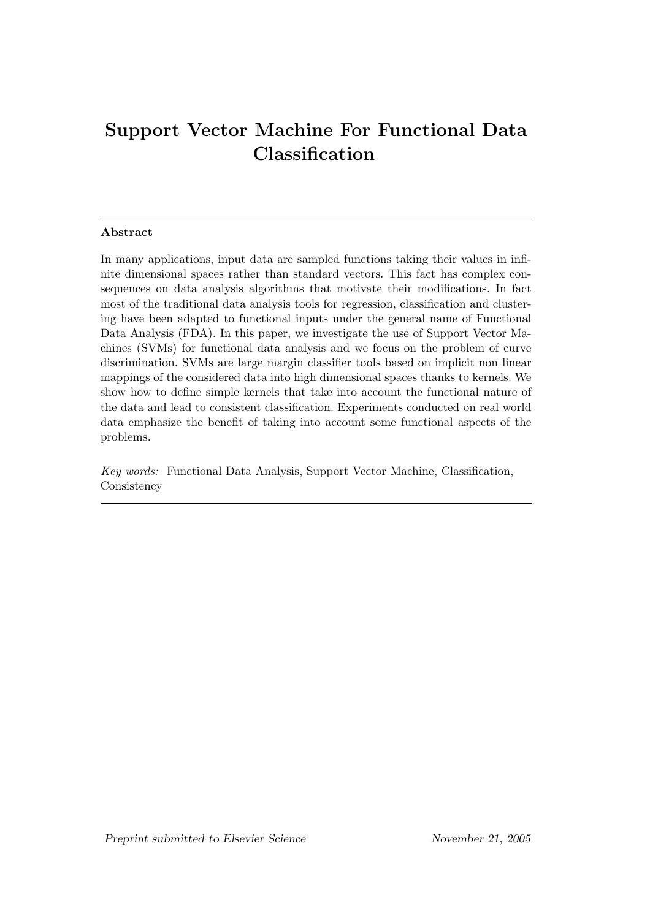# Support Vector Machine For Functional Data Classification

# Abstract

In many applications, input data are sampled functions taking their values in infinite dimensional spaces rather than standard vectors. This fact has complex consequences on data analysis algorithms that motivate their modifications. In fact most of the traditional data analysis tools for regression, classification and clustering have been adapted to functional inputs under the general name of Functional Data Analysis (FDA). In this paper, we investigate the use of Support Vector Machines (SVMs) for functional data analysis and we focus on the problem of curve discrimination. SVMs are large margin classifier tools based on implicit non linear mappings of the considered data into high dimensional spaces thanks to kernels. We show how to define simple kernels that take into account the functional nature of the data and lead to consistent classification. Experiments conducted on real world data emphasize the benefit of taking into account some functional aspects of the problems.

Key words: Functional Data Analysis, Support Vector Machine, Classification, **Consistency**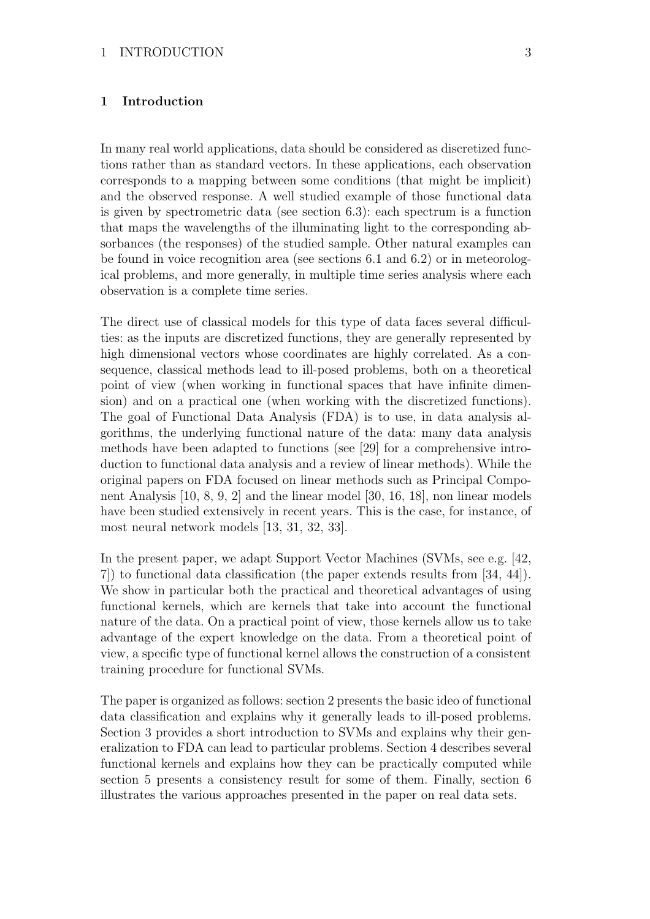# 1 Introduction

In many real world applications, data should be considered as discretized functions rather than as standard vectors. In these applications, each observation corresponds to a mapping between some conditions (that might be implicit) and the observed response. A well studied example of those functional data is given by spectrometric data (see section 6.3): each spectrum is a function that maps the wavelengths of the illuminating light to the corresponding absorbances (the responses) of the studied sample. Other natural examples can be found in voice recognition area (see sections 6.1 and 6.2) or in meteorological problems, and more generally, in multiple time series analysis where each observation is a complete time series.

The direct use of classical models for this type of data faces several difficulties: as the inputs are discretized functions, they are generally represented by high dimensional vectors whose coordinates are highly correlated. As a consequence, classical methods lead to ill-posed problems, both on a theoretical point of view (when working in functional spaces that have infinite dimension) and on a practical one (when working with the discretized functions). The goal of Functional Data Analysis (FDA) is to use, in data analysis algorithms, the underlying functional nature of the data: many data analysis methods have been adapted to functions (see [29] for a comprehensive introduction to functional data analysis and a review of linear methods). While the original papers on FDA focused on linear methods such as Principal Component Analysis [10, 8, 9, 2] and the linear model [30, 16, 18], non linear models have been studied extensively in recent years. This is the case, for instance, of most neural network models [13, 31, 32, 33].

In the present paper, we adapt Support Vector Machines (SVMs, see e.g. [42, 7]) to functional data classification (the paper extends results from [34, 44]). We show in particular both the practical and theoretical advantages of using functional kernels, which are kernels that take into account the functional nature of the data. On a practical point of view, those kernels allow us to take advantage of the expert knowledge on the data. From a theoretical point of view, a specific type of functional kernel allows the construction of a consistent training procedure for functional SVMs.

The paper is organized as follows: section 2 presents the basic ideo of functional data classification and explains why it generally leads to ill-posed problems. Section 3 provides a short introduction to SVMs and explains why their generalization to FDA can lead to particular problems. Section 4 describes several functional kernels and explains how they can be practically computed while section 5 presents a consistency result for some of them. Finally, section 6 illustrates the various approaches presented in the paper on real data sets.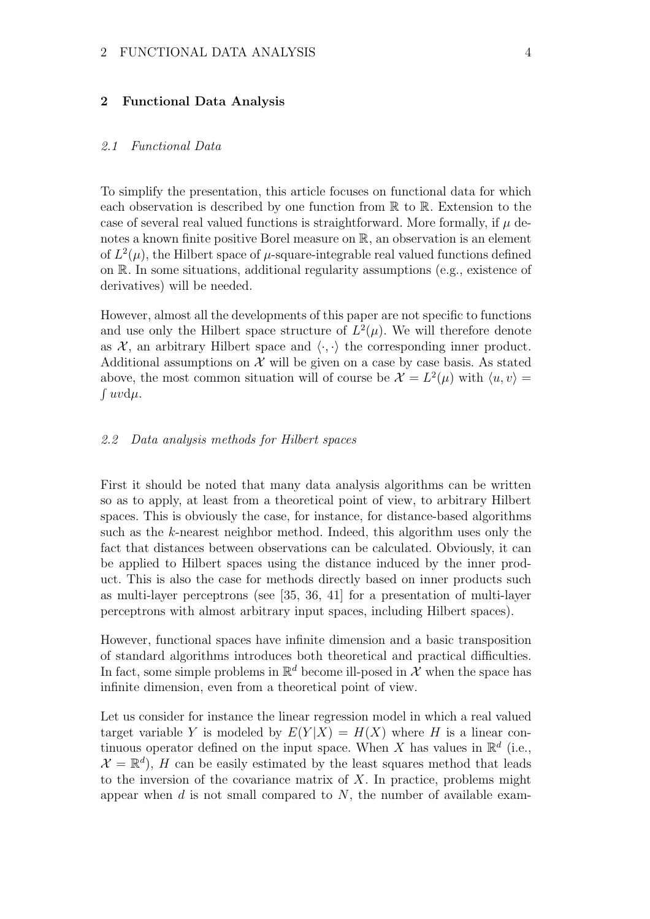# 2 Functional Data Analysis

#### 2.1 Functional Data

To simplify the presentation, this article focuses on functional data for which each observation is described by one function from  $\mathbb R$  to  $\mathbb R$ . Extension to the case of several real valued functions is straightforward. More formally, if  $\mu$  denotes a known finite positive Borel measure on  $\mathbb{R}$ , an observation is an element of  $L^2(\mu)$ , the Hilbert space of  $\mu$ -square-integrable real valued functions defined on R. In some situations, additional regularity assumptions (e.g., existence of derivatives) will be needed.

However, almost all the developments of this paper are not specific to functions and use only the Hilbert space structure of  $L^2(\mu)$ . We will therefore denote as  $X$ , an arbitrary Hilbert space and  $\langle \cdot, \cdot \rangle$  the corresponding inner product. Additional assumptions on  $\mathcal X$  will be given on a case by case basis. As stated above, the most common situation will of course be  $\mathcal{X} = L^2(\mu)$  with  $\langle u, v \rangle = \int uv \, du$ .  $\int uv d\mu.$ 

#### 2.2 Data analysis methods for Hilbert spaces

First it should be noted that many data analysis algorithms can be written so as to apply, at least from a theoretical point of view, to arbitrary Hilbert spaces. This is obviously the case, for instance, for distance-based algorithms such as the k-nearest neighbor method. Indeed, this algorithm uses only the fact that distances between observations can be calculated. Obviously, it can be applied to Hilbert spaces using the distance induced by the inner product. This is also the case for methods directly based on inner products such as multi-layer perceptrons (see [35, 36, 41] for a presentation of multi-layer perceptrons with almost arbitrary input spaces, including Hilbert spaces).

However, functional spaces have infinite dimension and a basic transposition of standard algorithms introduces both theoretical and practical difficulties. In fact, some simple problems in  $\mathbb{R}^d$  become ill-posed in X when the space has infinite dimension, even from a theoretical point of view.

Let us consider for instance the linear regression model in which a real valued target variable Y is modeled by  $E(Y|X) = H(X)$  where H is a linear continuous operator defined on the input space. When X has values in  $\mathbb{R}^d$  (i.e.,  $\mathcal{X} = \mathbb{R}^d$ , H can be easily estimated by the least squares method that leads to the inversion of the covariance matrix of  $X$ . In practice, problems might appear when  $d$  is not small compared to  $N$ , the number of available exam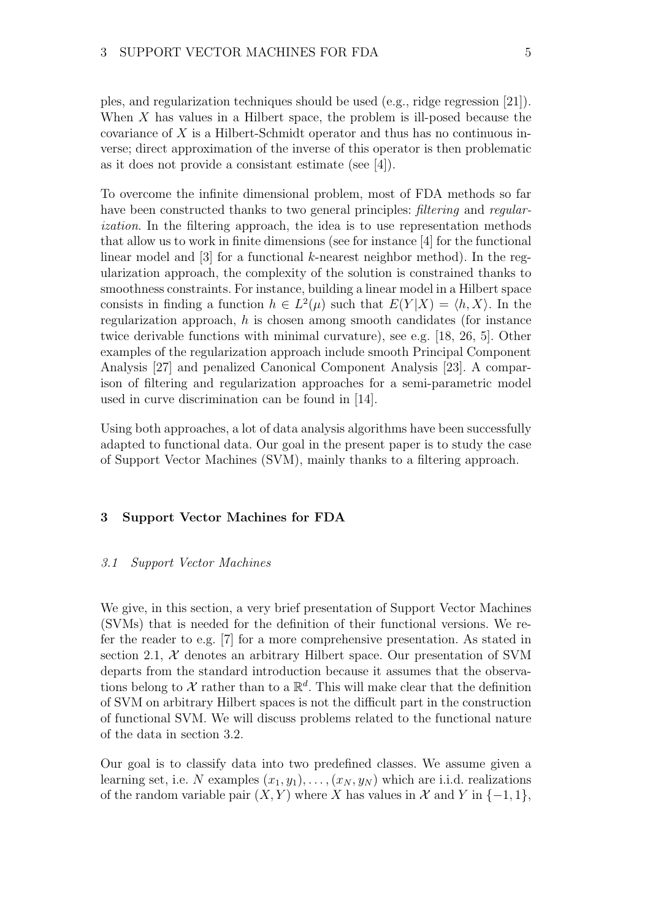ples, and regularization techniques should be used (e.g., ridge regression [21]). When  $X$  has values in a Hilbert space, the problem is ill-posed because the covariance of X is a Hilbert-Schmidt operator and thus has no continuous inverse; direct approximation of the inverse of this operator is then problematic as it does not provide a consistant estimate (see [4]).

To overcome the infinite dimensional problem, most of FDA methods so far have been constructed thanks to two general principles: filtering and regularization. In the filtering approach, the idea is to use representation methods that allow us to work in finite dimensions (see for instance [4] for the functional linear model and  $\lceil 3 \rceil$  for a functional k-nearest neighbor method). In the regularization approach, the complexity of the solution is constrained thanks to smoothness constraints. For instance, building a linear model in a Hilbert space consists in finding a function  $h \in L^2(\mu)$  such that  $E(Y|X) = \langle h, X \rangle$ . In the regularization approach, h is chosen among smooth candidates (for instance twice derivable functions with minimal curvature), see e.g. [18, 26, 5]. Other examples of the regularization approach include smooth Principal Component Analysis [27] and penalized Canonical Component Analysis [23]. A comparison of filtering and regularization approaches for a semi-parametric model used in curve discrimination can be found in [14].

Using both approaches, a lot of data analysis algorithms have been successfully adapted to functional data. Our goal in the present paper is to study the case of Support Vector Machines (SVM), mainly thanks to a filtering approach.

# 3 Support Vector Machines for FDA

#### 3.1 Support Vector Machines

We give, in this section, a very brief presentation of Support Vector Machines (SVMs) that is needed for the definition of their functional versions. We refer the reader to e.g. [7] for a more comprehensive presentation. As stated in section 2.1,  $X$  denotes an arbitrary Hilbert space. Our presentation of SVM departs from the standard introduction because it assumes that the observations belong to  $\mathcal X$  rather than to a  $\mathbb R^d$ . This will make clear that the definition of SVM on arbitrary Hilbert spaces is not the difficult part in the construction of functional SVM. We will discuss problems related to the functional nature of the data in section 3.2.

Our goal is to classify data into two predefined classes. We assume given a learning set, i.e. N examples  $(x_1, y_1), \ldots, (x_N, y_N)$  which are i.i.d. realizations of the random variable pair  $(X, Y)$  where X has values in X and Y in  $\{-1, 1\}$ ,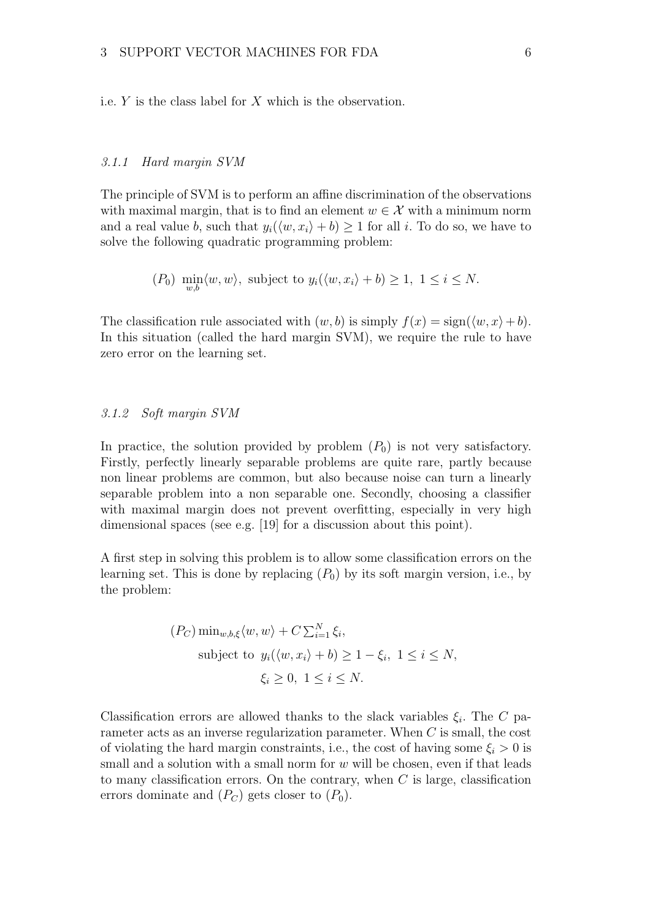i.e.  $Y$  is the class label for  $X$  which is the observation.

#### 3.1.1 Hard margin SVM

The principle of SVM is to perform an affine discrimination of the observations with maximal margin, that is to find an element  $w \in \mathcal{X}$  with a minimum norm and a real value b, such that  $y_i(\langle w, x_i \rangle + b) \ge 1$  for all i. To do so, we have to solve the following quadratic programming problem:

$$
(P_0)
$$
 min<sub>w,b</sub> $\langle w, w \rangle$ , subject to  $y_i(\langle w, x_i \rangle + b) \ge 1, 1 \le i \le N$ .

The classification rule associated with  $(w, b)$  is simply  $f(x) = \text{sign}(\langle w, x \rangle + b)$ . In this situation (called the hard margin SVM), we require the rule to have zero error on the learning set.

### 3.1.2 Soft margin SVM

In practice, the solution provided by problem  $(P_0)$  is not very satisfactory. Firstly, perfectly linearly separable problems are quite rare, partly because non linear problems are common, but also because noise can turn a linearly separable problem into a non separable one. Secondly, choosing a classifier with maximal margin does not prevent overfitting, especially in very high dimensional spaces (see e.g. [19] for a discussion about this point).

A first step in solving this problem is to allow some classification errors on the learning set. This is done by replacing  $(P_0)$  by its soft margin version, i.e., by the problem:

$$
(P_C) \min_{w,b,\xi} \langle w, w \rangle + C \sum_{i=1}^{N} \xi_i,
$$
  
subject to  $y_i(\langle w, x_i \rangle + b) \ge 1 - \xi_i, 1 \le i \le N,$   
 $\xi_i \ge 0, 1 \le i \le N.$ 

Classification errors are allowed thanks to the slack variables  $\xi_i$ . The C parameter acts as an inverse regularization parameter. When C is small, the cost of violating the hard margin constraints, i.e., the cost of having some  $\xi_i > 0$  is small and a solution with a small norm for  $w$  will be chosen, even if that leads to many classification errors. On the contrary, when  $C$  is large, classification errors dominate and  $(P_C)$  gets closer to  $(P_0)$ .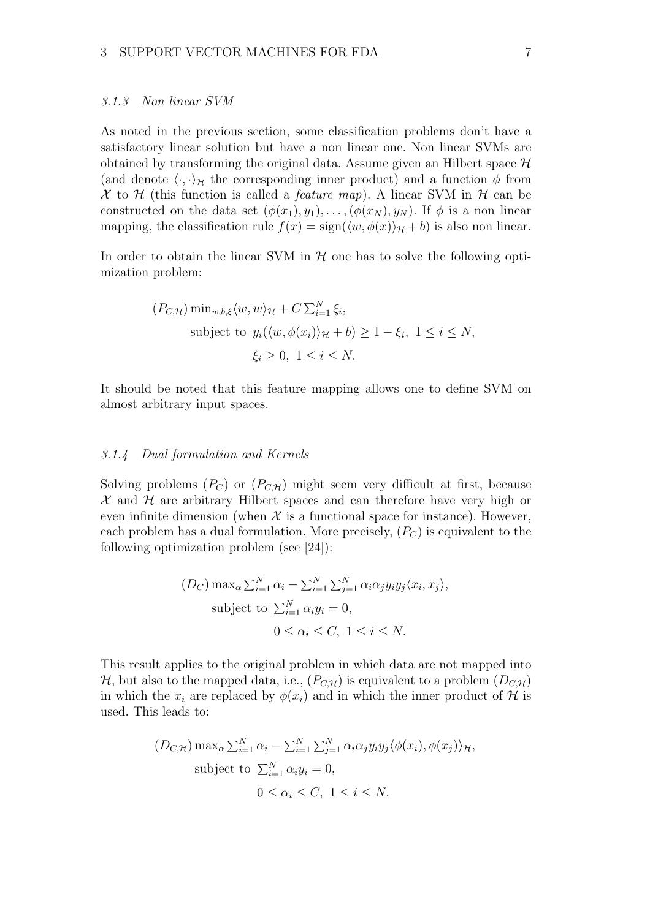#### 3.1.3 Non linear SVM

As noted in the previous section, some classification problems don't have a satisfactory linear solution but have a non linear one. Non linear SVMs are obtained by transforming the original data. Assume given an Hilbert space  $\mathcal H$ (and denote  $\langle \cdot, \cdot \rangle_{\mathcal{H}}$  the corresponding inner product) and a function  $\phi$  from X to H (this function is called a *feature map*). A linear SVM in H can be constructed on the data set  $(\phi(x_1), y_1), \ldots, (\phi(x_N), y_N)$ . If  $\phi$  is a non linear mapping, the classification rule  $f(x) = \text{sign}(\langle w, \phi(x)\rangle_{\mathcal{H}} + b)$  is also non linear.

In order to obtain the linear SVM in  $H$  one has to solve the following optimization problem:

$$
(P_{C,\mathcal{H}})\min_{w,b,\xi} \langle w, w \rangle_{\mathcal{H}} + C \sum_{i=1}^{N} \xi_i,
$$
  
subject to  $y_i(\langle w, \phi(x_i) \rangle_{\mathcal{H}} + b) \ge 1 - \xi_i, 1 \le i \le N,$   
 $\xi_i \ge 0, 1 \le i \le N.$ 

It should be noted that this feature mapping allows one to define SVM on almost arbitrary input spaces.

# 3.1.4 Dual formulation and Kernels

Solving problems  $(P_C)$  or  $(P_{C,H})$  might seem very difficult at first, because  $\mathcal X$  and  $\mathcal H$  are arbitrary Hilbert spaces and can therefore have very high or even infinite dimension (when  $\mathcal X$  is a functional space for instance). However, each problem has a dual formulation. More precisely,  $(P_C)$  is equivalent to the following optimization problem (see [24]):

$$
(D_C) \max_{\alpha} \sum_{i=1}^{N} \alpha_i - \sum_{i=1}^{N} \sum_{j=1}^{N} \alpha_i \alpha_j y_i y_j \langle x_i, x_j \rangle,
$$
  
subject to  $\sum_{i=1}^{N} \alpha_i y_i = 0$ ,  
 $0 \le \alpha_i \le C, 1 \le i \le N$ .

This result applies to the original problem in which data are not mapped into  $\mathcal{H}$ , but also to the mapped data, i.e.,  $(P_{C,\mathcal{H}})$  is equivalent to a problem  $(D_{C,\mathcal{H}})$ in which the  $x_i$  are replaced by  $\phi(x_i)$  and in which the inner product of H is used. This leads to:

$$
(D_{C,\mathcal{H}}) \max_{\alpha} \sum_{i=1}^{N} \alpha_i - \sum_{i=1}^{N} \sum_{j=1}^{N} \alpha_i \alpha_j y_i y_j \langle \phi(x_i), \phi(x_j) \rangle_{\mathcal{H}},
$$
  
subject to  $\sum_{i=1}^{N} \alpha_i y_i = 0$ ,  
 $0 \le \alpha_i \le C, 1 \le i \le N$ .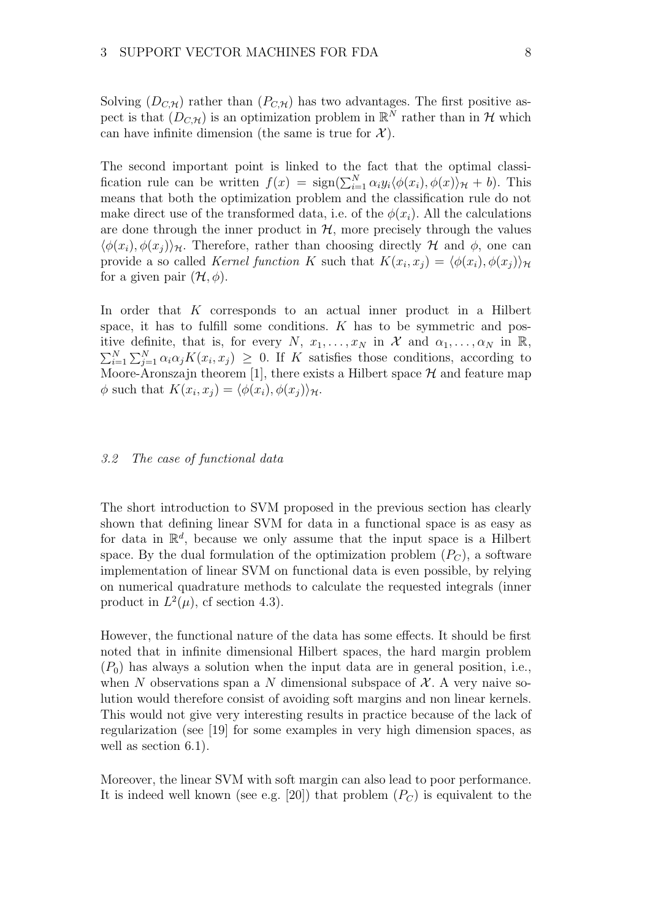Solving  $(D_{C,H})$  rather than  $(P_{C,H})$  has two advantages. The first positive aspect is that  $(D_{C,\mathcal{H}})$  is an optimization problem in  $\mathbb{R}^N$  rather than in  $\mathcal{H}$  which can have infinite dimension (the same is true for  $\mathcal{X}$ ).

The second important point is linked to the fact that the optimal classification rule can be written  $f(x) = \text{sign}(\sum_{i=1}^{N} \alpha_i y_i \langle \phi(x_i), \phi(x) \rangle_{\mathcal{H}} + b)$ . This means that both the optimization problem and the classification rule do not make direct use of the transformed data, i.e. of the  $\phi(x_i)$ . All the calculations are done through the inner product in  $H$ , more precisely through the values  $\langle \phi(x_i), \phi(x_i) \rangle_{\mathcal{H}}$ . Therefore, rather than choosing directly H and  $\phi$ , one can provide a so called *Kernel function* K such that  $K(x_i, x_j) = \langle \phi(x_i), \phi(x_j) \rangle_{\mathcal{H}}$ for a given pair  $(\mathcal{H}, \phi)$ .

In order that  $K$  corresponds to an actual inner product in a Hilbert space, it has to fulfill some conditions.  $K$  has to be symmetric and positive definite, that is, for every N,  $x_1, \ldots, x_N$  in X and  $\alpha_1, \ldots, \alpha_N$  in  $\mathbb{R}$ ,  $\sum_{i=1}^N \sum_{j=1}^N \alpha_i \alpha_j K(x_i, x_j) \geq 0$ . If K satisfies those conditions, according to Moore-Aronszajn theorem [1], there exists a Hilbert space  $\mathcal H$  and feature map  $\phi$  such that  $K(x_i, x_j) = \langle \phi(x_i), \phi(x_j) \rangle_{\mathcal{H}}.$ 

#### 3.2 The case of functional data

The short introduction to SVM proposed in the previous section has clearly shown that defining linear SVM for data in a functional space is as easy as for data in  $\mathbb{R}^d$ , because we only assume that the input space is a Hilbert space. By the dual formulation of the optimization problem  $(P_C)$ , a software implementation of linear SVM on functional data is even possible, by relying on numerical quadrature methods to calculate the requested integrals (inner product in  $L^2(\mu)$ , cf section 4.3).

However, the functional nature of the data has some effects. It should be first noted that in infinite dimensional Hilbert spaces, the hard margin problem  $(P_0)$  has always a solution when the input data are in general position, i.e., when N observations span a N dimensional subspace of  $X$ . A very naive solution would therefore consist of avoiding soft margins and non linear kernels. This would not give very interesting results in practice because of the lack of regularization (see [19] for some examples in very high dimension spaces, as well as section 6.1).

Moreover, the linear SVM with soft margin can also lead to poor performance. It is indeed well known (see e.g. [20]) that problem  $(P_C)$  is equivalent to the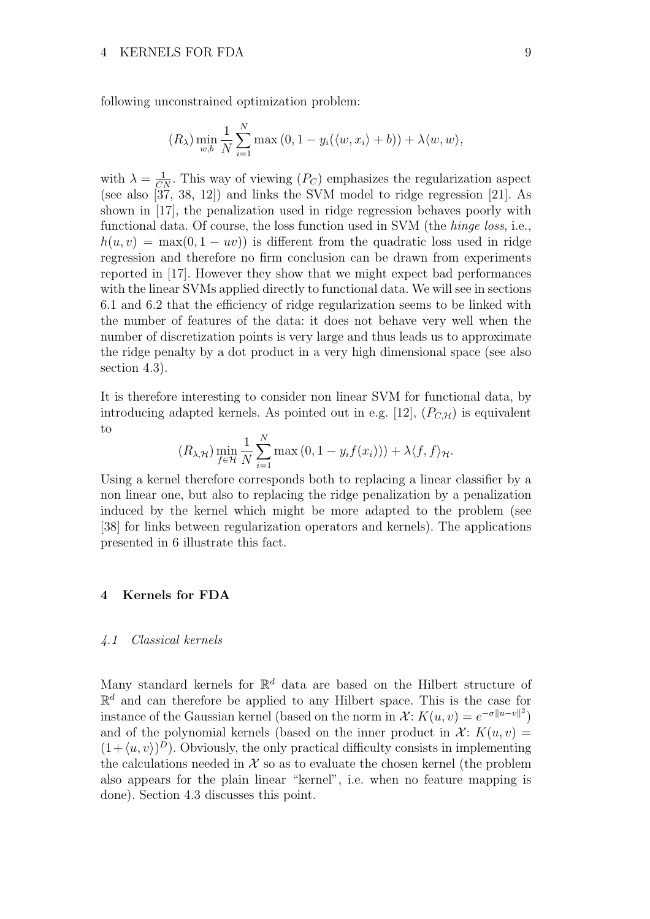following unconstrained optimization problem:

$$
(R_{\lambda}) \min_{w,b} \frac{1}{N} \sum_{i=1}^{N} \max(0, 1 - y_i(\langle w, x_i \rangle + b)) + \lambda \langle w, w \rangle,
$$

with  $\lambda = \frac{1}{CN}$ . This way of viewing  $(P_C)$  emphasizes the regularization aspect (see also [37, 38, 12]) and links the SVM model to ridge regression [21]. As shown in [17], the penalization used in ridge regression behaves poorly with functional data. Of course, the loss function used in SVM (the hinge loss, i.e.,  $h(u, v) = \max(0, 1 - uv)$  is different from the quadratic loss used in ridge regression and therefore no firm conclusion can be drawn from experiments reported in [17]. However they show that we might expect bad performances with the linear SVMs applied directly to functional data. We will see in sections 6.1 and 6.2 that the efficiency of ridge regularization seems to be linked with the number of features of the data: it does not behave very well when the number of discretization points is very large and thus leads us to approximate the ridge penalty by a dot product in a very high dimensional space (see also section 4.3).

It is therefore interesting to consider non linear SVM for functional data, by introducing adapted kernels. As pointed out in e.g. [12],  $(P_{C,H})$  is equivalent to

$$
(R_{\lambda,\mathcal{H}})\min_{f\in\mathcal{H}}\frac{1}{N}\sum_{i=1}^N\max(0,1-y_if(x_i)))+\lambda\langle f,f\rangle_{\mathcal{H}}.
$$

Using a kernel therefore corresponds both to replacing a linear classifier by a non linear one, but also to replacing the ridge penalization by a penalization induced by the kernel which might be more adapted to the problem (see [38] for links between regularization operators and kernels). The applications presented in 6 illustrate this fact.

## 4 Kernels for FDA

### 4.1 Classical kernels

Many standard kernels for  $\mathbb{R}^d$  data are based on the Hilbert structure of  $\mathbb{R}^d$  and can therefore be applied to any Hilbert space. This is the case for instance of the Gaussian kernel (based on the norm in  $\mathcal{X}$ :  $K(u, v) = e^{-\sigma ||u - v||^2}$ ) and of the polynomial kernels (based on the inner product in  $\mathcal{X}$ :  $K(u, v) =$  $(1 + \langle u, v \rangle)^D$ . Obviously, the only practical difficulty consists in implementing the calculations needed in  $X$  so as to evaluate the chosen kernel (the problem also appears for the plain linear "kernel", i.e. when no feature mapping is done). Section 4.3 discusses this point.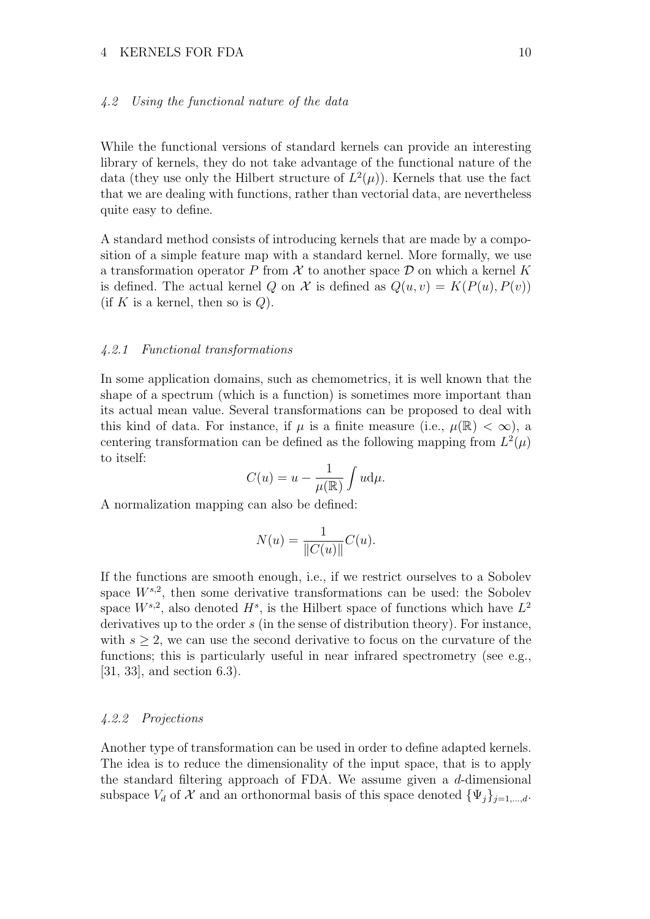#### 4 KERNELS FOR FDA 10

#### 4.2 Using the functional nature of the data

While the functional versions of standard kernels can provide an interesting library of kernels, they do not take advantage of the functional nature of the data (they use only the Hilbert structure of  $L^2(\mu)$ ). Kernels that use the fact that we are dealing with functions, rather than vectorial data, are nevertheless quite easy to define.

A standard method consists of introducing kernels that are made by a composition of a simple feature map with a standard kernel. More formally, we use a transformation operator P from  $\mathcal X$  to another space  $\mathcal D$  on which a kernel K is defined. The actual kernel Q on X is defined as  $Q(u, v) = K(P(u), P(v))$ (if K is a kernel, then so is  $Q$ ).

#### 4.2.1 Functional transformations

In some application domains, such as chemometrics, it is well known that the shape of a spectrum (which is a function) is sometimes more important than its actual mean value. Several transformations can be proposed to deal with this kind of data. For instance, if  $\mu$  is a finite measure (i.e.,  $\mu(\mathbb{R}) < \infty$ ), a centering transformation can be defined as the following mapping from  $L^2(\mu)$ to itself:

$$
C(u) = u - \frac{1}{\mu(\mathbb{R})} \int u d\mu.
$$

A normalization mapping can also be defined:

$$
N(u) = \frac{1}{\|C(u)\|}C(u).
$$

If the functions are smooth enough, i.e., if we restrict ourselves to a Sobolev space  $W^{s,2}$ , then some derivative transformations can be used: the Sobolev space  $W^{s,2}$ , also denoted  $H^s$ , is the Hilbert space of functions which have  $L^2$ derivatives up to the order  $s$  (in the sense of distribution theory). For instance, with  $s \geq 2$ , we can use the second derivative to focus on the curvature of the functions; this is particularly useful in near infrared spectrometry (see e.g., [31, 33], and section 6.3).

#### 4.2.2 Projections

Another type of transformation can be used in order to define adapted kernels. The idea is to reduce the dimensionality of the input space, that is to apply the standard filtering approach of FDA. We assume given a  $d$ -dimensional subspace  $V_d$  of  $\mathcal X$  and an orthonormal basis of this space denoted  $\{\Psi_j\}_{j=1,\dots,d}$ .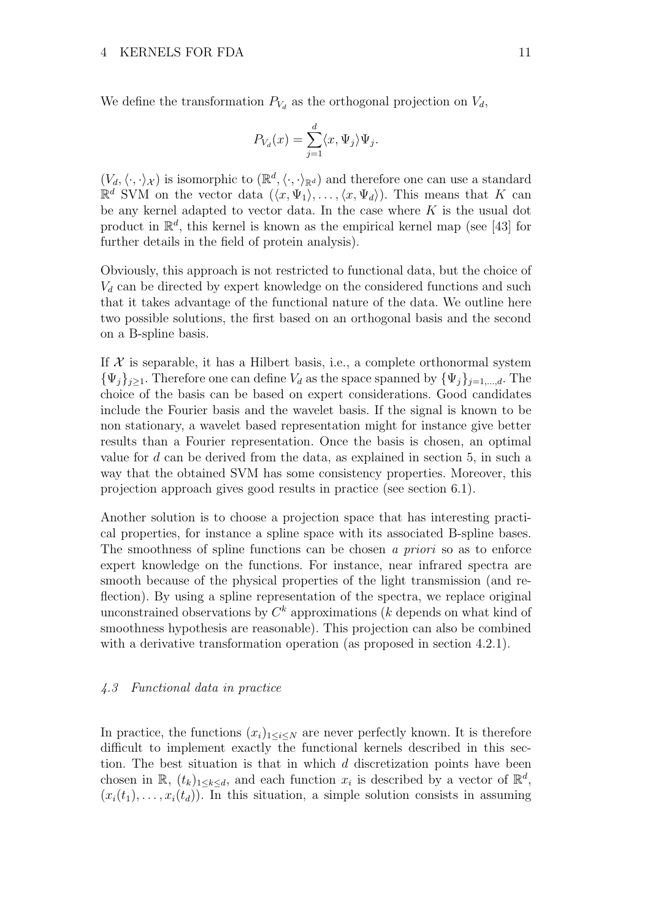We define the transformation  $P_{V_d}$  as the orthogonal projection on  $V_d$ ,

$$
P_{V_d}(x) = \sum_{j=1}^d \langle x, \Psi_j \rangle \Psi_j.
$$

 $(V_d, \langle \cdot, \cdot \rangle_{\mathcal{X}})$  is isomorphic to  $(\mathbb{R}^d, \langle \cdot, \cdot \rangle_{\mathbb{R}^d})$  and therefore one can use a standard  $\mathbb{R}^d$  SVM on the vector data  $(\langle x, \Psi_1 \rangle, \ldots, \langle x, \Psi_d \rangle)$ . This means that K can be any kernel adapted to vector data. In the case where  $K$  is the usual dot product in  $\mathbb{R}^d$ , this kernel is known as the empirical kernel map (see [43] for further details in the field of protein analysis).

Obviously, this approach is not restricted to functional data, but the choice of  $V<sub>d</sub>$  can be directed by expert knowledge on the considered functions and such that it takes advantage of the functional nature of the data. We outline here two possible solutions, the first based on an orthogonal basis and the second on a B-spline basis.

If  $X$  is separable, it has a Hilbert basis, i.e., a complete orthonormal system  ${\{\Psi_j\}}_{j\geq1}$ . Therefore one can define  $V_d$  as the space spanned by  ${\{\Psi_j\}}_{j=1,\dots,d}$ . The choice of the basis can be based on expert considerations. Good candidates include the Fourier basis and the wavelet basis. If the signal is known to be non stationary, a wavelet based representation might for instance give better results than a Fourier representation. Once the basis is chosen, an optimal value for  $d$  can be derived from the data, as explained in section 5, in such a way that the obtained SVM has some consistency properties. Moreover, this projection approach gives good results in practice (see section 6.1).

Another solution is to choose a projection space that has interesting practical properties, for instance a spline space with its associated B-spline bases. The smoothness of spline functions can be chosen a priori so as to enforce expert knowledge on the functions. For instance, near infrared spectra are smooth because of the physical properties of the light transmission (and reflection). By using a spline representation of the spectra, we replace original unconstrained observations by  $C^k$  approximations (k depends on what kind of smoothness hypothesis are reasonable). This projection can also be combined with a derivative transformation operation (as proposed in section 4.2.1).

#### 4.3 Functional data in practice

In practice, the functions  $(x_i)_{1\leq i\leq N}$  are never perfectly known. It is therefore difficult to implement exactly the functional kernels described in this section. The best situation is that in which  $d$  discretization points have been chosen in  $\mathbb{R}$ ,  $(t_k)_{1 \leq k \leq d}$ , and each function  $x_i$  is described by a vector of  $\mathbb{R}^d$ ,  $(x_i(t_1), \ldots, x_i(t_d))$ . In this situation, a simple solution consists in assuming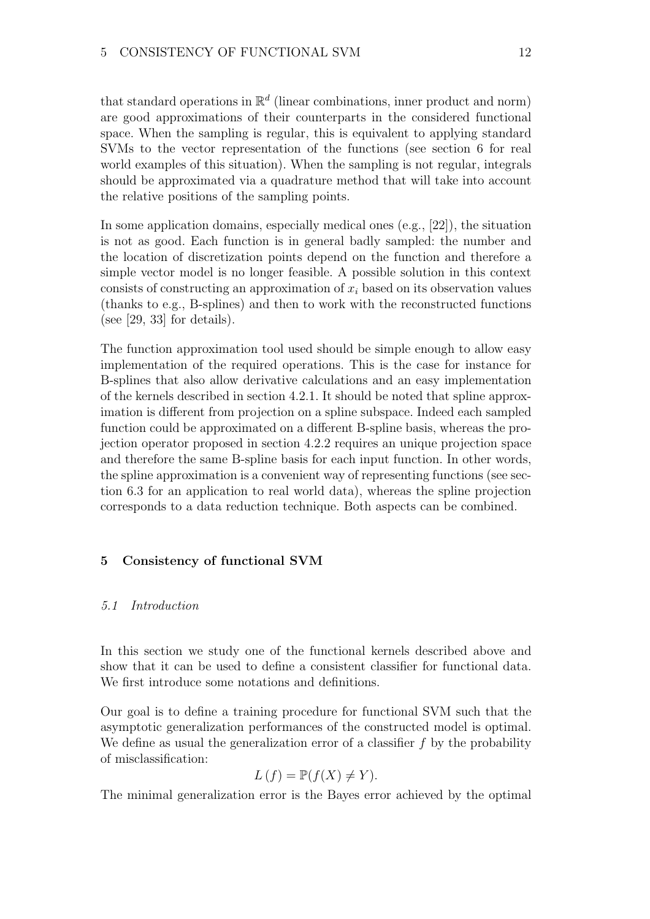that standard operations in  $\mathbb{R}^d$  (linear combinations, inner product and norm) are good approximations of their counterparts in the considered functional space. When the sampling is regular, this is equivalent to applying standard SVMs to the vector representation of the functions (see section 6 for real world examples of this situation). When the sampling is not regular, integrals should be approximated via a quadrature method that will take into account the relative positions of the sampling points.

In some application domains, especially medical ones (e.g., [22]), the situation is not as good. Each function is in general badly sampled: the number and the location of discretization points depend on the function and therefore a simple vector model is no longer feasible. A possible solution in this context consists of constructing an approximation of  $x_i$  based on its observation values (thanks to e.g., B-splines) and then to work with the reconstructed functions (see  $[29, 33]$  for details).

The function approximation tool used should be simple enough to allow easy implementation of the required operations. This is the case for instance for B-splines that also allow derivative calculations and an easy implementation of the kernels described in section 4.2.1. It should be noted that spline approximation is different from projection on a spline subspace. Indeed each sampled function could be approximated on a different B-spline basis, whereas the projection operator proposed in section 4.2.2 requires an unique projection space and therefore the same B-spline basis for each input function. In other words, the spline approximation is a convenient way of representing functions (see section 6.3 for an application to real world data), whereas the spline projection corresponds to a data reduction technique. Both aspects can be combined.

# 5 Consistency of functional SVM

#### 5.1 Introduction

In this section we study one of the functional kernels described above and show that it can be used to define a consistent classifier for functional data. We first introduce some notations and definitions.

Our goal is to define a training procedure for functional SVM such that the asymptotic generalization performances of the constructed model is optimal. We define as usual the generalization error of a classifier  $f$  by the probability of misclassification:

$$
L(f) = \mathbb{P}(f(X) \neq Y).
$$

The minimal generalization error is the Bayes error achieved by the optimal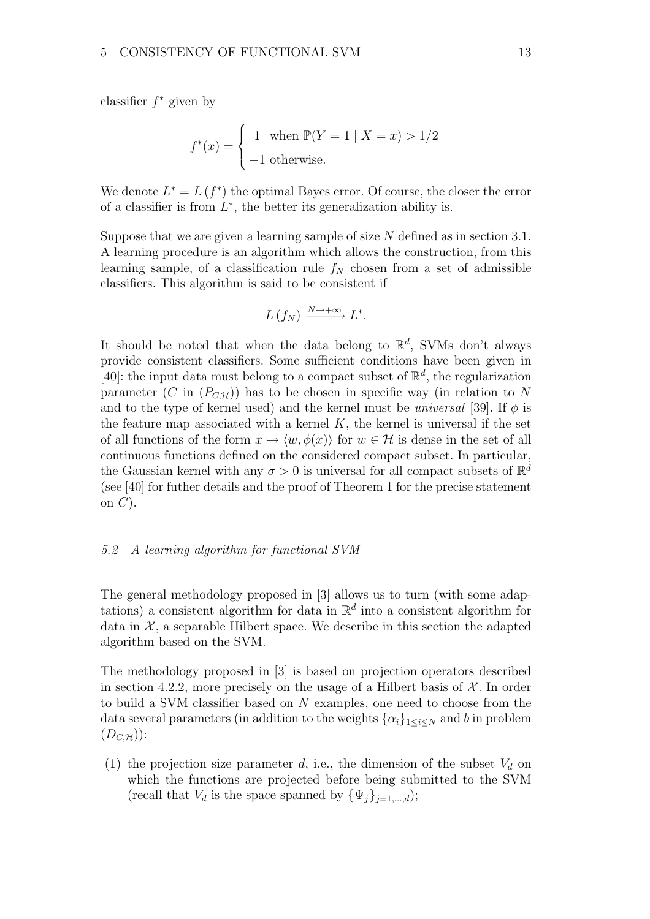classifier  $f^*$  given by

$$
f^*(x) = \begin{cases} 1 & \text{when } \mathbb{P}(Y = 1 \mid X = x) > 1/2 \\ -1 & \text{otherwise.} \end{cases}
$$

We denote  $L^* = L(f^*)$  the optimal Bayes error. Of course, the closer the error of a classifier is from  $L^*$ , the better its generalization ability is.

Suppose that we are given a learning sample of size  $N$  defined as in section 3.1. A learning procedure is an algorithm which allows the construction, from this learning sample, of a classification rule  $f_N$  chosen from a set of admissible classifiers. This algorithm is said to be consistent if

$$
L(f_N) \xrightarrow{N \to +\infty} L^*.
$$

It should be noted that when the data belong to  $\mathbb{R}^d$ , SVMs don't always provide consistent classifiers. Some sufficient conditions have been given in [40]: the input data must belong to a compact subset of  $\mathbb{R}^d$ , the regularization parameter (C in  $(P_{C,H})$ ) has to be chosen in specific way (in relation to N and to the type of kernel used) and the kernel must be *universal* [39]. If  $\phi$  is the feature map associated with a kernel  $K$ , the kernel is universal if the set of all functions of the form  $x \mapsto \langle w, \phi(x) \rangle$  for  $w \in \mathcal{H}$  is dense in the set of all continuous functions defined on the considered compact subset. In particular, the Gaussian kernel with any  $\sigma > 0$  is universal for all compact subsets of  $\mathbb{R}^d$ (see [40] for futher details and the proof of Theorem 1 for the precise statement on  $C$ ).

#### 5.2 A learning algorithm for functional SVM

The general methodology proposed in [3] allows us to turn (with some adaptations) a consistent algorithm for data in  $\mathbb{R}^d$  into a consistent algorithm for data in  $\mathcal{X}$ , a separable Hilbert space. We describe in this section the adapted algorithm based on the SVM.

The methodology proposed in [3] is based on projection operators described in section 4.2.2, more precisely on the usage of a Hilbert basis of  $\mathcal{X}$ . In order to build a SVM classifier based on N examples, one need to choose from the data several parameters (in addition to the weights  $\{\alpha_i\}_{1\leq i\leq N}$  and b in problem  $(D_{C,\mathcal{H}})$ :

(1) the projection size parameter d, i.e., the dimension of the subset  $V_d$  on which the functions are projected before being submitted to the SVM (recall that  $V_d$  is the space spanned by  $\{\Psi_i\}_{i=1,\dots,d}$ );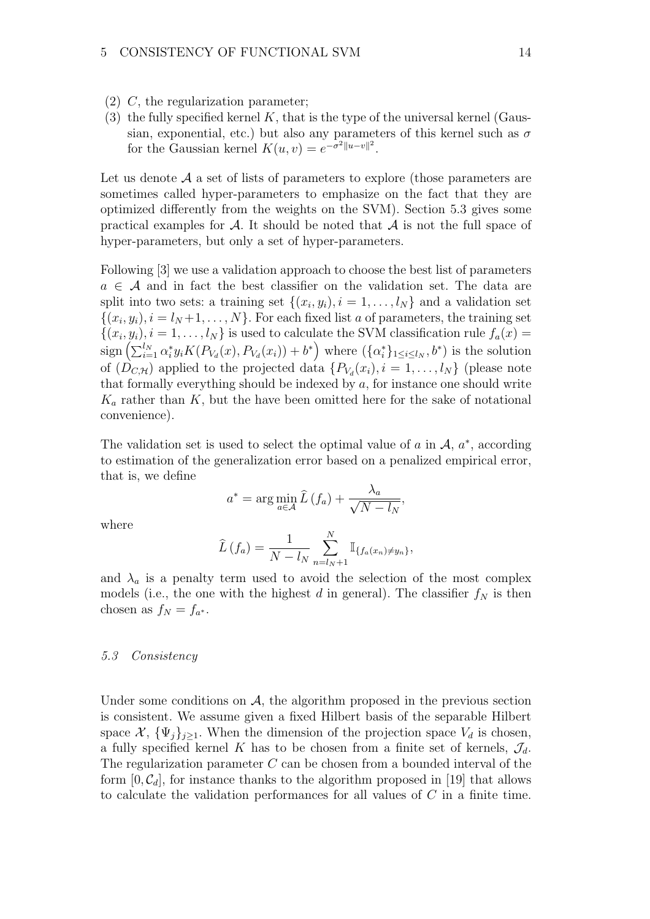- (2) C, the regularization parameter;
- (3) the fully specified kernel  $K$ , that is the type of the universal kernel (Gaussian, exponential, etc.) but also any parameters of this kernel such as  $\sigma$ for the Gaussian kernel  $K(u, v) = e^{-\sigma^2 ||u - v||^2}$ .

Let us denote  $A$  a set of lists of parameters to explore (those parameters are sometimes called hyper-parameters to emphasize on the fact that they are optimized differently from the weights on the SVM). Section 5.3 gives some practical examples for  $\mathcal A$ . It should be noted that  $\mathcal A$  is not the full space of hyper-parameters, but only a set of hyper-parameters.

Following [3] we use a validation approach to choose the best list of parameters  $a \in \mathcal{A}$  and in fact the best classifier on the validation set. The data are split into two sets: a training set  $\{(x_i, y_i), i = 1, \ldots, l_N\}$  and a validation set  $\{(x_i, y_i), i = l_N + 1, \ldots, N\}$ . For each fixed list a of parameters, the training set  $\{(x_i, y_i), i = 1, \ldots, l_N\}$  is used to calculate the SVM classification rule  $f_a(x) =$  $sign\left(\sum_{i=1}^{l_N} \alpha_i^* y_i K(P_{V_d}(x), P_{V_d}(x_i)) + b^*\right)$  where  $(\{\alpha_i^*\}_{1 \leq i \leq l_N}, b^*)$  is the solution of  $(D_{C,H})$  applied to the projected data  $\{P_{V_d}(x_i), i = 1, \ldots, l_N\}$  (please note that formally everything should be indexed by  $a$ , for instance one should write  $K_a$  rather than K, but the have been omitted here for the sake of notational convenience).

The validation set is used to select the optimal value of a in  $A$ ,  $a^*$ , according to estimation of the generalization error based on a penalized empirical error, that is, we define

$$
a^* = \arg\min_{a \in \mathcal{A}} \widehat{L}(f_a) + \frac{\lambda_a}{\sqrt{N - l_N}},
$$

where

$$
\widehat{L}(f_a) = \frac{1}{N - l_N} \sum_{n = l_N + 1}^{N} \mathbb{I}_{\{f_a(x_n) \neq y_n\}},
$$

and  $\lambda_a$  is a penalty term used to avoid the selection of the most complex models (i.e., the one with the highest d in general). The classifier  $f_N$  is then chosen as  $f_N = f_{a^*}.$ 

#### 5.3 Consistency

Under some conditions on  $\mathcal{A}$ , the algorithm proposed in the previous section is consistent. We assume given a fixed Hilbert basis of the separable Hilbert space  $\mathcal{X}, \{\Psi_j\}_{j\geq 1}$ . When the dimension of the projection space  $V_d$  is chosen, a fully specified kernel K has to be chosen from a finite set of kernels,  $\mathcal{J}_d$ . The regularization parameter  $C$  can be chosen from a bounded interval of the form  $[0, \mathcal{C}_d]$ , for instance thanks to the algorithm proposed in [19] that allows to calculate the validation performances for all values of C in a finite time.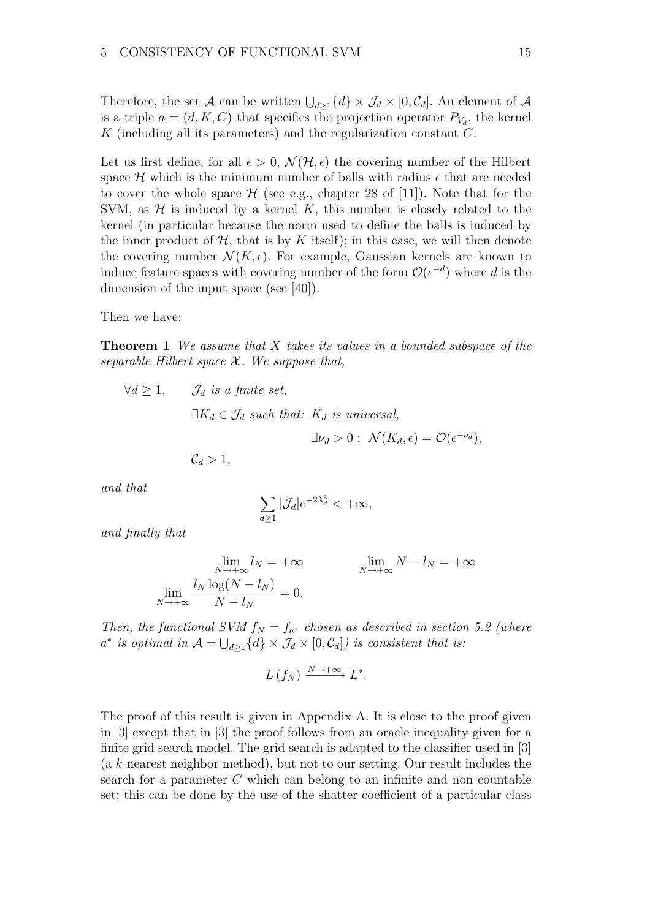Therefore, the set A can be written  $\bigcup_{d\geq 1}\{d\} \times \mathcal{J}_d \times [0,\mathcal{C}_d]$ . An element of A is a triple  $a = (d, K, C)$  that specifies the projection operator  $P_{V_d}$ , the kernel K (including all its parameters) and the regularization constant  $C$ .

Let us first define, for all  $\epsilon > 0$ ,  $\mathcal{N}(\mathcal{H}, \epsilon)$  the covering number of the Hilbert space H which is the minimum number of balls with radius  $\epsilon$  that are needed to cover the whole space  $\mathcal H$  (see e.g., chapter 28 of [11]). Note that for the SVM, as  $H$  is induced by a kernel K, this number is closely related to the kernel (in particular because the norm used to define the balls is induced by the inner product of  $H$ , that is by K itself); in this case, we will then denote the covering number  $\mathcal{N}(K, \epsilon)$ . For example, Gaussian kernels are known to induce feature spaces with covering number of the form  $\mathcal{O}(\epsilon^{-d})$  where d is the dimension of the input space (see [40]).

Then we have:

**Theorem 1** We assume that  $X$  takes its values in a bounded subspace of the separable Hilbert space  $\mathcal X$ . We suppose that,

$$
\forall d \ge 1, \qquad \mathcal{J}_d \text{ is a finite set,}
$$
  
\n
$$
\exists K_d \in \mathcal{J}_d \text{ such that: } K_d \text{ is universal,}
$$
  
\n
$$
\exists \nu_d > 0: \mathcal{N}(K_d, \epsilon) = \mathcal{O}(\epsilon^{-\nu_d}),
$$
  
\n
$$
\mathcal{C}_d > 1,
$$

and that

$$
\sum_{d\geq 1}|\mathcal{J}_d|e^{-2\lambda_d^2}<+\infty,
$$

and finally that

$$
\lim_{N \to +\infty} l_N = +\infty \qquad \qquad \lim_{N \to +\infty} N - l_N = +\infty
$$
  

$$
\lim_{N \to +\infty} \frac{l_N \log(N - l_N)}{N - l_N} = 0.
$$

Then, the functional SVM  $f_N = f_{a^*}$  chosen as described in section 5.2 (where  $a^*$  is optimal in  $\mathcal{A} = \bigcup_{d \geq 1} \{d\} \times \mathcal{J}_d \times [0, \mathcal{C}_d]$  is consistent that is:

$$
L(f_N) \xrightarrow{N \to +\infty} L^*.
$$

The proof of this result is given in Appendix A. It is close to the proof given in [3] except that in [3] the proof follows from an oracle inequality given for a finite grid search model. The grid search is adapted to the classifier used in [3] (a k-nearest neighbor method), but not to our setting. Our result includes the search for a parameter  $C$  which can belong to an infinite and non countable set; this can be done by the use of the shatter coefficient of a particular class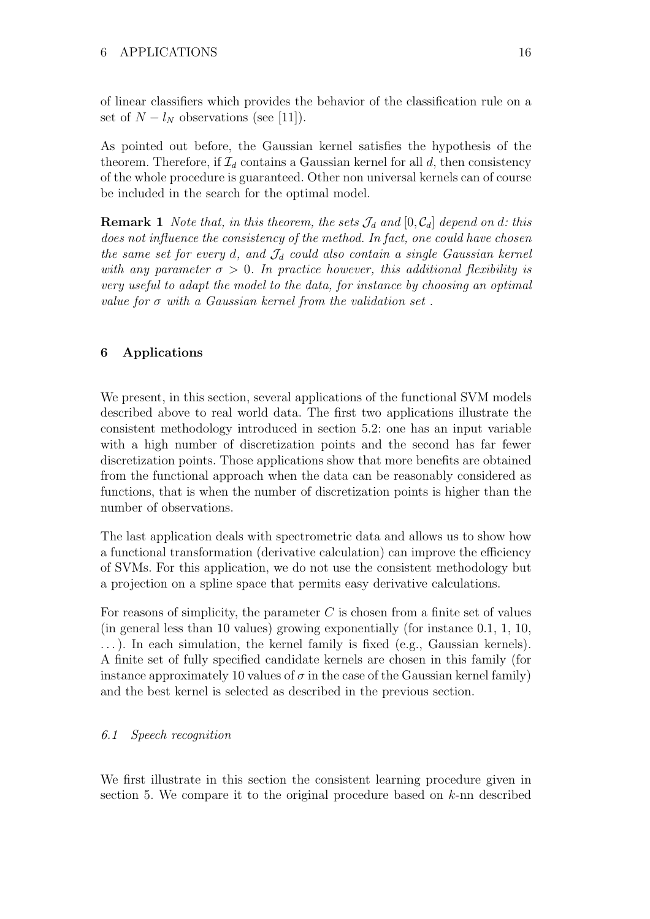of linear classifiers which provides the behavior of the classification rule on a set of  $N - l_N$  observations (see [11]).

As pointed out before, the Gaussian kernel satisfies the hypothesis of the theorem. Therefore, if  $\mathcal{I}_d$  contains a Gaussian kernel for all d, then consistency of the whole procedure is guaranteed. Other non universal kernels can of course be included in the search for the optimal model.

**Remark 1** Note that, in this theorem, the sets  $\mathcal{J}_d$  and  $[0, \mathcal{C}_d]$  depend on d: this does not influence the consistency of the method. In fact, one could have chosen the same set for every d, and  $\mathcal{J}_d$  could also contain a single Gaussian kernel with any parameter  $\sigma > 0$ . In practice however, this additional flexibility is very useful to adapt the model to the data, for instance by choosing an optimal value for  $\sigma$  with a Gaussian kernel from the validation set.

# 6 Applications

We present, in this section, several applications of the functional SVM models described above to real world data. The first two applications illustrate the consistent methodology introduced in section 5.2: one has an input variable with a high number of discretization points and the second has far fewer discretization points. Those applications show that more benefits are obtained from the functional approach when the data can be reasonably considered as functions, that is when the number of discretization points is higher than the number of observations.

The last application deals with spectrometric data and allows us to show how a functional transformation (derivative calculation) can improve the efficiency of SVMs. For this application, we do not use the consistent methodology but a projection on a spline space that permits easy derivative calculations.

For reasons of simplicity, the parameter C is chosen from a finite set of values (in general less than 10 values) growing exponentially (for instance 0.1, 1, 10, . . . ). In each simulation, the kernel family is fixed (e.g., Gaussian kernels). A finite set of fully specified candidate kernels are chosen in this family (for instance approximately 10 values of  $\sigma$  in the case of the Gaussian kernel family) and the best kernel is selected as described in the previous section.

# 6.1 Speech recognition

We first illustrate in this section the consistent learning procedure given in section 5. We compare it to the original procedure based on k-nn described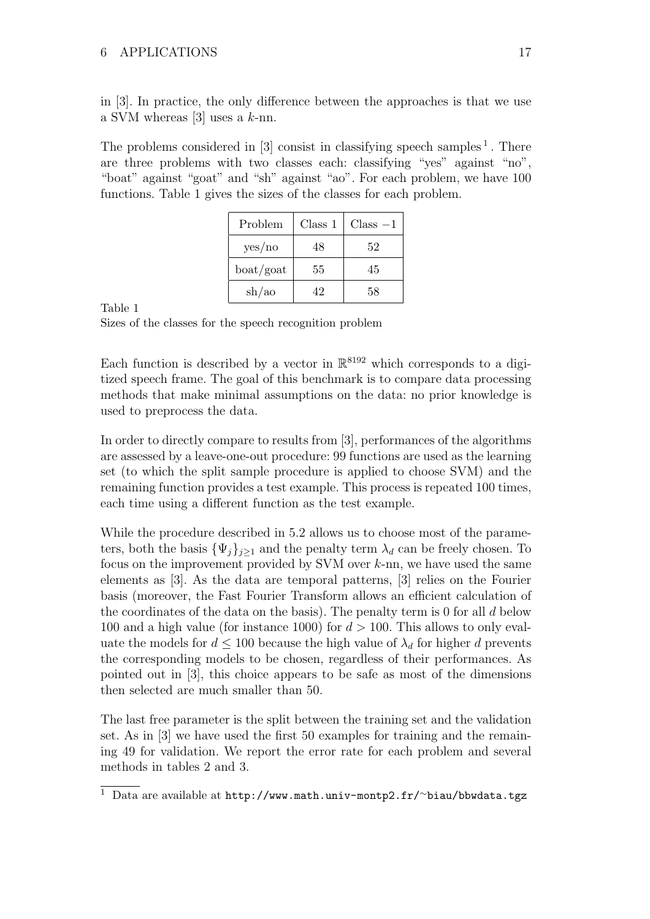in [3]. In practice, the only difference between the approaches is that we use a SVM whereas  $[3]$  uses a k-nn.

The problems considered in  $[3]$  consist in classifying speech samples<sup>1</sup>. There are three problems with two classes each: classifying "yes" against "no", "boat" against "goat" and "sh" against "ao". For each problem, we have 100 functions. Table 1 gives the sizes of the classes for each problem.

| Problem   | Class 1 | $Class -1$ |
|-----------|---------|------------|
| yes/no    | 48      | 52         |
| boat/goat | 55      | 45         |
| sh/ao     | 42      | 58         |

Table 1

Sizes of the classes for the speech recognition problem

Each function is described by a vector in  $\mathbb{R}^{8192}$  which corresponds to a digitized speech frame. The goal of this benchmark is to compare data processing methods that make minimal assumptions on the data: no prior knowledge is used to preprocess the data.

In order to directly compare to results from [3], performances of the algorithms are assessed by a leave-one-out procedure: 99 functions are used as the learning set (to which the split sample procedure is applied to choose SVM) and the remaining function provides a test example. This process is repeated 100 times, each time using a different function as the test example.

While the procedure described in 5.2 allows us to choose most of the parameters, both the basis  $\{\Psi_i\}_{i\geq 1}$  and the penalty term  $\lambda_d$  can be freely chosen. To focus on the improvement provided by SVM over  $k$ -nn, we have used the same elements as [3]. As the data are temporal patterns, [3] relies on the Fourier basis (moreover, the Fast Fourier Transform allows an efficient calculation of the coordinates of the data on the basis). The penalty term is 0 for all  $d$  below 100 and a high value (for instance 1000) for  $d > 100$ . This allows to only evaluate the models for  $d \leq 100$  because the high value of  $\lambda_d$  for higher d prevents the corresponding models to be chosen, regardless of their performances. As pointed out in [3], this choice appears to be safe as most of the dimensions then selected are much smaller than 50.

The last free parameter is the split between the training set and the validation set. As in [3] we have used the first 50 examples for training and the remaining 49 for validation. We report the error rate for each problem and several methods in tables 2 and 3.

<sup>&</sup>lt;sup>1</sup> Data are available at http://www.math.univ-montp2.fr/~biau/bbwdata.tgz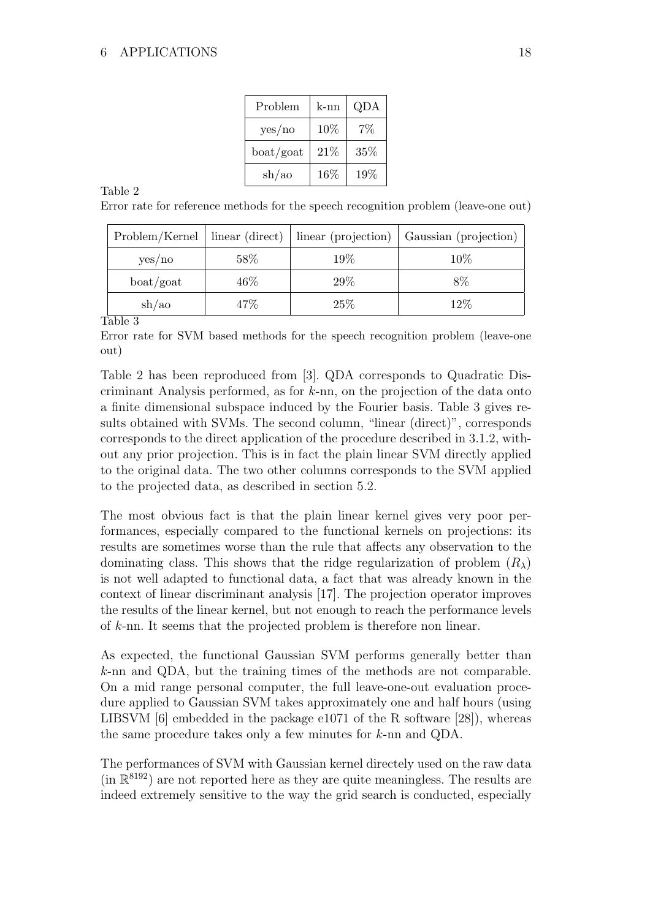| Problem            | k-nn | QDA   |
|--------------------|------|-------|
| yes/no             | 10%  | $7\%$ |
| $\text{boat/goat}$ | 21%  | 35%   |
| sh/ao              | 16%  | 19%   |

Table 2

Error rate for reference methods for the speech recognition problem (leave-one out)

| Problem/Kernel   linear (direct) |        | linear (projection) | Gaussian (projection) |
|----------------------------------|--------|---------------------|-----------------------|
| yes/no                           | 58%    | $19\%$              | 10%                   |
| $\text{boat/goat}$               | 46\%   | 29%                 | 8%                    |
| $\sh{}/\mathrm{ao}$              | $47\%$ | 25%                 | 12\%                  |

Table 3

Error rate for SVM based methods for the speech recognition problem (leave-one out)

Table 2 has been reproduced from [3]. QDA corresponds to Quadratic Discriminant Analysis performed, as for  $k$ -nn, on the projection of the data onto a finite dimensional subspace induced by the Fourier basis. Table 3 gives results obtained with SVMs. The second column, "linear (direct)", corresponds corresponds to the direct application of the procedure described in 3.1.2, without any prior projection. This is in fact the plain linear SVM directly applied to the original data. The two other columns corresponds to the SVM applied to the projected data, as described in section 5.2.

The most obvious fact is that the plain linear kernel gives very poor performances, especially compared to the functional kernels on projections: its results are sometimes worse than the rule that affects any observation to the dominating class. This shows that the ridge regularization of problem  $(R_\lambda)$ is not well adapted to functional data, a fact that was already known in the context of linear discriminant analysis [17]. The projection operator improves the results of the linear kernel, but not enough to reach the performance levels of k-nn. It seems that the projected problem is therefore non linear.

As expected, the functional Gaussian SVM performs generally better than k-nn and QDA, but the training times of the methods are not comparable. On a mid range personal computer, the full leave-one-out evaluation procedure applied to Gaussian SVM takes approximately one and half hours (using LIBSVM  $[6]$  embedded in the package e1071 of the R software  $[28]$ , whereas the same procedure takes only a few minutes for k-nn and QDA.

The performances of SVM with Gaussian kernel directely used on the raw data  $(in \mathbb{R}^{8192})$  are not reported here as they are quite meaningless. The results are indeed extremely sensitive to the way the grid search is conducted, especially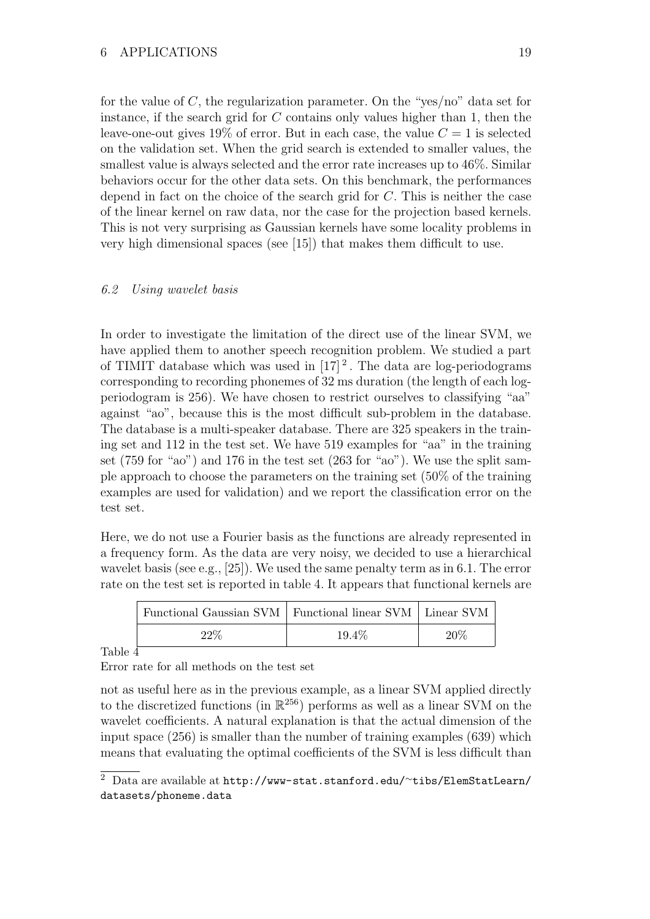for the value of  $C$ , the regularization parameter. On the "yes/no" data set for instance, if the search grid for  $C$  contains only values higher than 1, then the leave-one-out gives  $19\%$  of error. But in each case, the value  $C = 1$  is selected on the validation set. When the grid search is extended to smaller values, the smallest value is always selected and the error rate increases up to 46%. Similar behaviors occur for the other data sets. On this benchmark, the performances depend in fact on the choice of the search grid for C. This is neither the case of the linear kernel on raw data, nor the case for the projection based kernels. This is not very surprising as Gaussian kernels have some locality problems in very high dimensional spaces (see [15]) that makes them difficult to use.

## 6.2 Using wavelet basis

In order to investigate the limitation of the direct use of the linear SVM, we have applied them to another speech recognition problem. We studied a part of TIMIT database which was used in  $[17]^2$ . The data are log-periodograms corresponding to recording phonemes of 32 ms duration (the length of each logperiodogram is 256). We have chosen to restrict ourselves to classifying "aa" against "ao", because this is the most difficult sub-problem in the database. The database is a multi-speaker database. There are 325 speakers in the training set and 112 in the test set. We have 519 examples for "aa" in the training set (759 for "ao") and 176 in the test set (263 for "ao"). We use the split sample approach to choose the parameters on the training set (50% of the training examples are used for validation) and we report the classification error on the test set.

Here, we do not use a Fourier basis as the functions are already represented in a frequency form. As the data are very noisy, we decided to use a hierarchical wavelet basis (see e.g., [25]). We used the same penalty term as in 6.1. The error rate on the test set is reported in table 4. It appears that functional kernels are

| Functional Gaussian SVM   Functional linear SVM   Linear SVM |        |        |
|--------------------------------------------------------------|--------|--------|
| 22%                                                          | 19.4\% | $20\%$ |

Table 4

Error rate for all methods on the test set

not as useful here as in the previous example, as a linear SVM applied directly to the discretized functions (in  $\mathbb{R}^{256}$ ) performs as well as a linear SVM on the wavelet coefficients. A natural explanation is that the actual dimension of the input space  $(256)$  is smaller than the number of training examples  $(639)$  which means that evaluating the optimal coefficients of the SVM is less difficult than

<sup>2</sup> Data are available at http://www-stat.stanford.edu/∼tibs/ElemStatLearn/ datasets/phoneme.data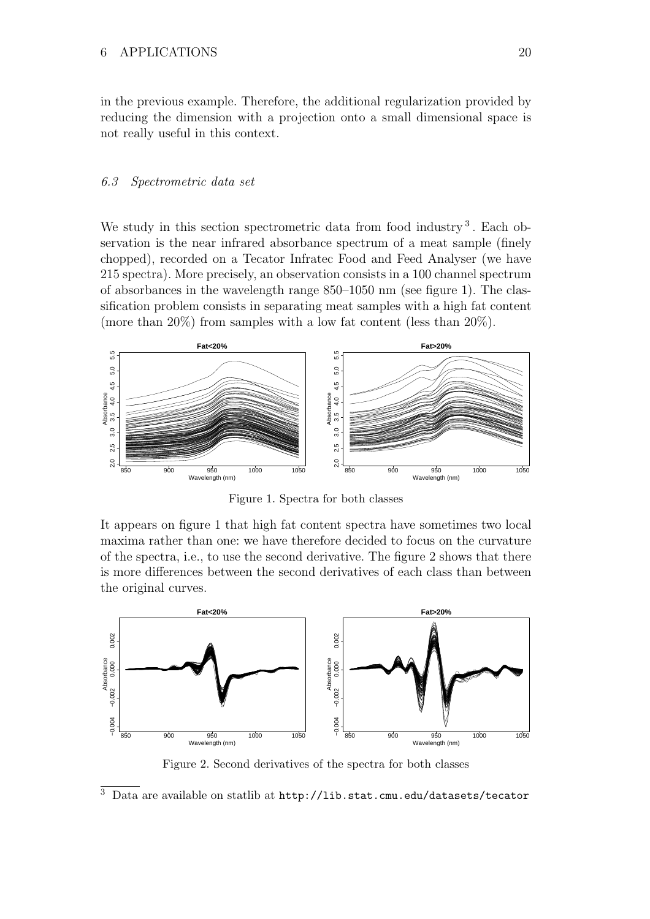in the previous example. Therefore, the additional regularization provided by reducing the dimension with a projection onto a small dimensional space is not really useful in this context.

#### 6.3 Spectrometric data set

We study in this section spectrometric data from food industry<sup>3</sup>. Each observation is the near infrared absorbance spectrum of a meat sample (finely chopped), recorded on a Tecator Infratec Food and Feed Analyser (we have 215 spectra). More precisely, an observation consists in a 100 channel spectrum of absorbances in the wavelength range 850–1050 nm (see figure 1). The classification problem consists in separating meat samples with a high fat content (more than 20%) from samples with a low fat content (less than  $20\%$ ).



Figure 1. Spectra for both classes

It appears on figure 1 that high fat content spectra have sometimes two local maxima rather than one: we have therefore decided to focus on the curvature of the spectra, i.e., to use the second derivative. The figure 2 shows that there is more differences between the second derivatives of each class than between the original curves.



Figure 2. Second derivatives of the spectra for both classes

 $^3$ Data are available on statlib at  $\texttt{http://lib.stat.cmu.edu/datasets/tecator}$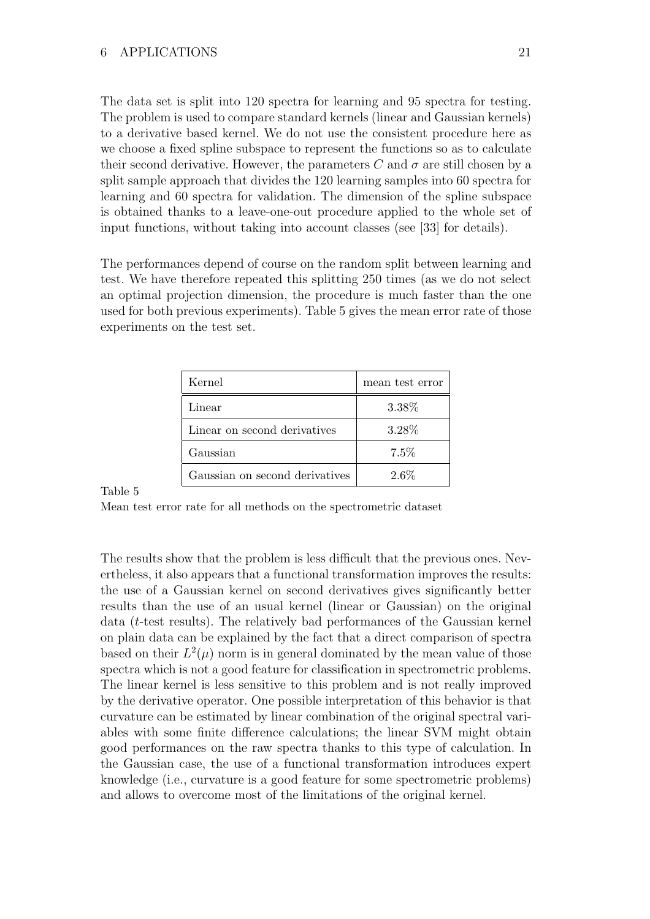The data set is split into 120 spectra for learning and 95 spectra for testing. The problem is used to compare standard kernels (linear and Gaussian kernels) to a derivative based kernel. We do not use the consistent procedure here as we choose a fixed spline subspace to represent the functions so as to calculate their second derivative. However, the parameters C and  $\sigma$  are still chosen by a split sample approach that divides the 120 learning samples into 60 spectra for learning and 60 spectra for validation. The dimension of the spline subspace is obtained thanks to a leave-one-out procedure applied to the whole set of input functions, without taking into account classes (see [33] for details).

The performances depend of course on the random split between learning and test. We have therefore repeated this splitting 250 times (as we do not select an optimal projection dimension, the procedure is much faster than the one used for both previous experiments). Table 5 gives the mean error rate of those experiments on the test set.

| Kernel                         | mean test error |  |
|--------------------------------|-----------------|--|
| Linear                         | 3.38%           |  |
| Linear on second derivatives   | 3.28%           |  |
| Gaussian                       | 7.5%            |  |
| Gaussian on second derivatives | $2.6\%$         |  |

Table 5

Mean test error rate for all methods on the spectrometric dataset

The results show that the problem is less difficult that the previous ones. Nevertheless, it also appears that a functional transformation improves the results: the use of a Gaussian kernel on second derivatives gives significantly better results than the use of an usual kernel (linear or Gaussian) on the original data (t-test results). The relatively bad performances of the Gaussian kernel on plain data can be explained by the fact that a direct comparison of spectra based on their  $L^2(\mu)$  norm is in general dominated by the mean value of those spectra which is not a good feature for classification in spectrometric problems. The linear kernel is less sensitive to this problem and is not really improved by the derivative operator. One possible interpretation of this behavior is that curvature can be estimated by linear combination of the original spectral variables with some finite difference calculations; the linear SVM might obtain good performances on the raw spectra thanks to this type of calculation. In the Gaussian case, the use of a functional transformation introduces expert knowledge (i.e., curvature is a good feature for some spectrometric problems) and allows to overcome most of the limitations of the original kernel.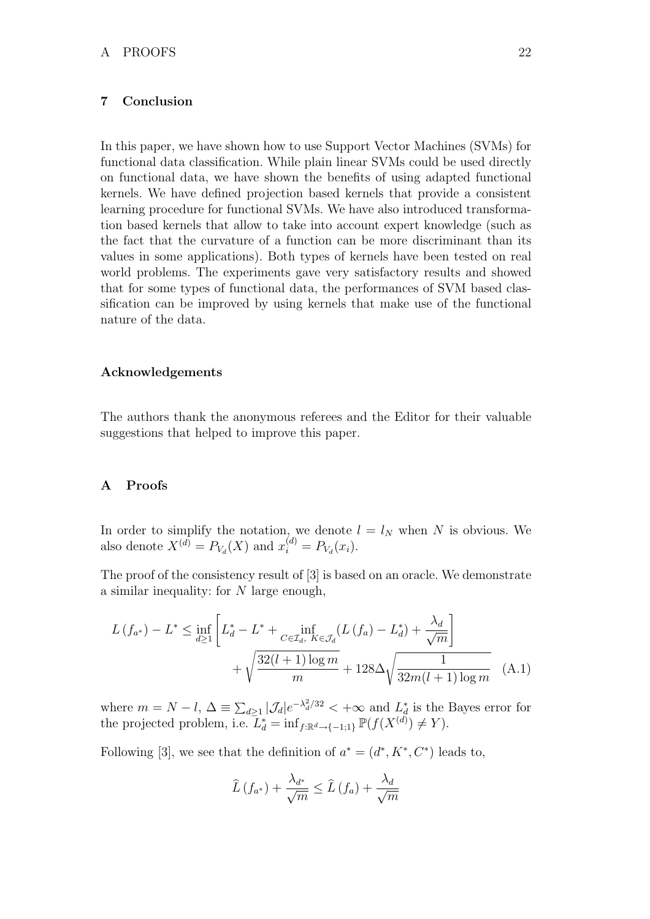# 7 Conclusion

In this paper, we have shown how to use Support Vector Machines (SVMs) for functional data classification. While plain linear SVMs could be used directly on functional data, we have shown the benefits of using adapted functional kernels. We have defined projection based kernels that provide a consistent learning procedure for functional SVMs. We have also introduced transformation based kernels that allow to take into account expert knowledge (such as the fact that the curvature of a function can be more discriminant than its values in some applications). Both types of kernels have been tested on real world problems. The experiments gave very satisfactory results and showed that for some types of functional data, the performances of SVM based classification can be improved by using kernels that make use of the functional nature of the data.

### Acknowledgements

The authors thank the anonymous referees and the Editor for their valuable suggestions that helped to improve this paper.

#### A Proofs

In order to simplify the notation, we denote  $l = l_N$  when N is obvious. We also denote  $X^{(d)} = P_{V_d}(X)$  and  $x_i^{(d)} = P_{V_d}(x_i)$ .

The proof of the consistency result of [3] is based on an oracle. We demonstrate a similar inequality: for N large enough,

$$
L(f_{a^*}) - L^* \le \inf_{d \ge 1} \left[ L_d^* - L^* + \inf_{C \in \mathcal{I}_d, K \in \mathcal{J}_d} (L(f_a) - L_d^*) + \frac{\lambda_d}{\sqrt{m}} \right] + \sqrt{\frac{32(l+1)\log m}{m}} + 128\Delta \sqrt{\frac{1}{32m(l+1)\log m}} \quad (A.1)
$$

where  $m = N - l$ ,  $\Delta \equiv \sum_{d \geq 1} |\mathcal{J}_d| e^{-\lambda_d^2/32} < +\infty$  and  $L_d^*$  is the Bayes error for the projected problem, i.e.  $\bar{L}_d^* = \inf_{f: \mathbb{R}^d \to \{-1,1\}} \mathbb{P}(f(X^{(d)}) \neq Y)$ .

Following [3], we see that the definition of  $a^* = (d^*, K^*, C^*)$  leads to,

$$
\widehat{L}\left(f_{a^*}\right) + \frac{\lambda_{d^*}}{\sqrt{m}} \leq \widehat{L}\left(f_a\right) + \frac{\lambda_d}{\sqrt{m}}
$$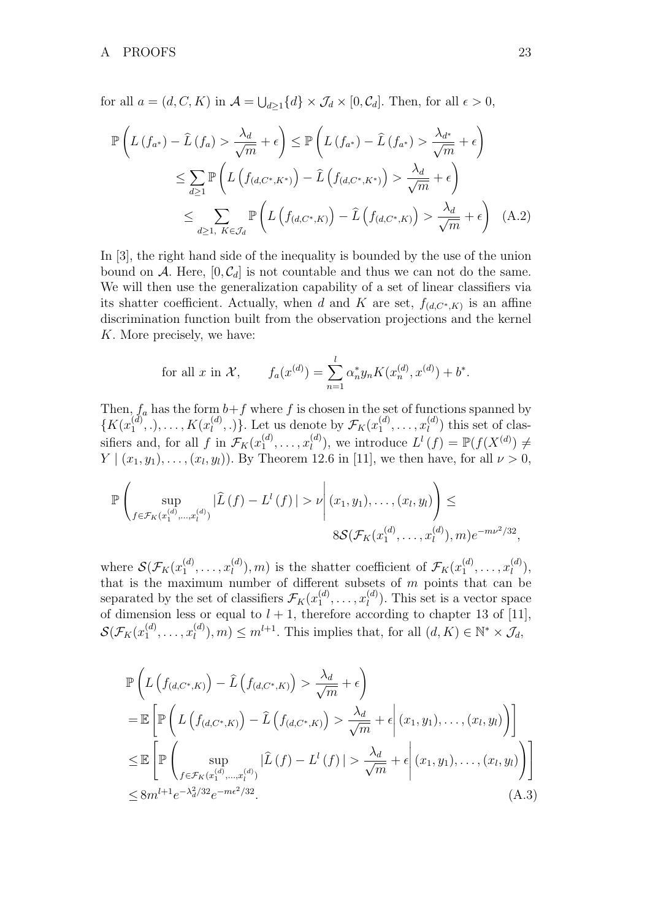for all  $a = (d, C, K)$  in  $\mathcal{A} = \bigcup_{d \geq 1} \{d\} \times \mathcal{J}_d \times [0, C_d]$ . Then, for all  $\epsilon > 0$ ,

$$
\mathbb{P}\left(L\left(f_{a^*}\right) - \hat{L}\left(f_{a}\right) > \frac{\lambda_d}{\sqrt{m}} + \epsilon\right) \leq \mathbb{P}\left(L\left(f_{a^*}\right) - \hat{L}\left(f_{a^*}\right) > \frac{\lambda_{d^*}}{\sqrt{m}} + \epsilon\right)
$$
\n
$$
\leq \sum_{d \geq 1} \mathbb{P}\left(L\left(f_{(d,C^*,K^*)}\right) - \hat{L}\left(f_{(d,C^*,K^*)}\right) > \frac{\lambda_d}{\sqrt{m}} + \epsilon\right)
$$
\n
$$
\leq \sum_{d \geq 1, K \in \mathcal{J}_d} \mathbb{P}\left(L\left(f_{(d,C^*,K)}\right) - \hat{L}\left(f_{(d,C^*,K)}\right) > \frac{\lambda_d}{\sqrt{m}} + \epsilon\right) \quad (A.2)
$$

In [3], the right hand side of the inequality is bounded by the use of the union bound on A. Here,  $[0, \mathcal{C}_d]$  is not countable and thus we can not do the same. We will then use the generalization capability of a set of linear classifiers via its shatter coefficient. Actually, when d and K are set,  $f_{(d,C^*,K)}$  is an affine discrimination function built from the observation projections and the kernel K. More precisely, we have:

for all 
$$
x
$$
 in  $\mathcal{X}$ ,  $f_a(x^{(d)}) = \sum_{n=1}^l \alpha_n^* y_n K(x_n^{(d)}, x^{(d)}) + b^*$ .

Then,  $f_a$  has the form  $b+f$  where f is chosen in the set of functions spanned by  $\{K(x_1^{(d)}\)}$  $\binom{d}{1}, \ldots, K(x_l^{(d)})$  $\mathcal{F}_l^{(d)},$ .). Let us denote by  $\mathcal{F}_K(x_1^{(d)})$  $x_1^{(d)}, \ldots, x_l^{(d)}$  $\binom{u}{l}$  this set of classifiers and, for all  $f$  in  $\mathcal{F}_K(x_1^{(d)})$  $x_1^{(d)}, \ldots, x_l^{(d)}$  $\mathcal{L}^{(d)}(f) = \mathbb{P}(f(X^{(d)}) \neq$  $Y \mid (x_1, y_1), \ldots, (x_l, y_l)$ . By Theorem 12.6 in [11], we then have, for all  $\nu > 0$ ,

$$
\mathbb{P}\left(\sup_{f\in\mathcal{F}_K(x_1^{(d)},...,x_l^{(d)})}|\hat{L}(f)-L^l(f)|>\nu\middle|\ (x_1,y_1),\ldots,(x_l,y_l)\right)\le
$$

$$
8\mathcal{S}(\mathcal{F}_K(x_1^{(d)},\ldots,x_l^{(d)}),m)e^{-m\nu^2/32},
$$

where  $\mathcal{S}(\mathcal{F}_K(x_1^{(d)})$  $x_1^{(d)}, \ldots, x_l^{(d)}$  $\binom{d}{l}$ , *m*) is the shatter coefficient of  $\mathcal{F}_K(x_1^{(d)})$  $x_1^{(d)}, \ldots, x_l^{(d)}$  $\binom{a}{l},$ that is the maximum number of different subsets of  $m$  points that can be separated by the set of classifiers  $\mathcal{F}_K(x_1^{(d)})$  $x_1^{(d)}, \ldots, x_l^{(d)}$  $\binom{a}{l}$ . This set is a vector space of dimension less or equal to  $l + 1$ , therefore according to chapter 13 of [11],  $\mathcal{S}(\mathcal{F}_K(\overline{x}_1^{(d)})$  $x_1^{(d)}, \ldots, x_l^{(d)}$  $\mathcal{L}^{(d)}_l$ ,  $m$ )  $\leq m^{l+1}$ . This implies that, for all  $(d, K) \in \mathbb{N}^* \times \mathcal{J}_d$ ,

$$
\mathbb{P}\left(L\left(f_{(d,C^*,K)}\right) - \hat{L}\left(f_{(d,C^*,K)}\right) > \frac{\lambda_d}{\sqrt{m}} + \epsilon\right)
$$
\n
$$
= \mathbb{E}\left[\mathbb{P}\left(L\left(f_{(d,C^*,K)}\right) - \hat{L}\left(f_{(d,C^*,K)}\right) > \frac{\lambda_d}{\sqrt{m}} + \epsilon\middle|\left(x_1,y_1\right),\ldots,\left(x_l,y_l\right)\right)\right]
$$
\n
$$
\leq \mathbb{E}\left[\mathbb{P}\left(\sup_{f \in \mathcal{F}_K(x_1^{(d)},\ldots,x_l^{(d)})} |\hat{L}(f) - L^l(f)| > \frac{\lambda_d}{\sqrt{m}} + \epsilon\middle|\left(x_1,y_1\right),\ldots,\left(x_l,y_l\right)\right)\right]
$$
\n
$$
\leq 8m^{l+1}e^{-\lambda_d^2/32}e^{-m\epsilon^2/32}.\tag{A.3}
$$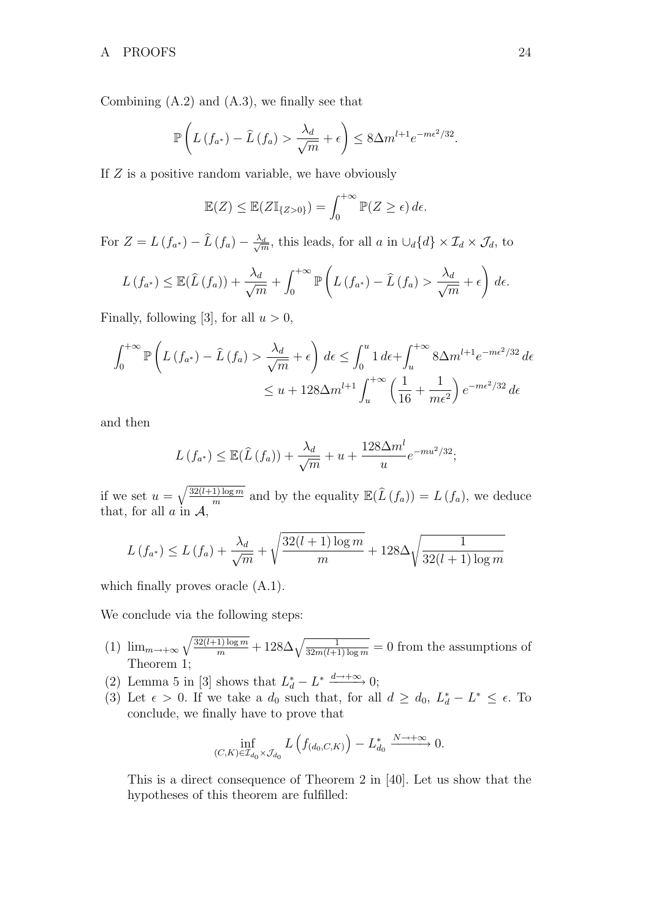Combining (A.2) and (A.3), we finally see that

$$
\mathbb{P}\left(L\left(f_{a^*}\right) - \widehat{L}\left(f_a\right) > \frac{\lambda_d}{\sqrt{m}} + \epsilon\right) \leq 8\Delta m^{l+1} e^{-m\epsilon^2/32}.
$$

If  $Z$  is a positive random variable, we have obviously

$$
\mathbb{E}(Z) \leq \mathbb{E}(Z\mathbb{I}_{\{Z>0\}}) = \int_0^{+\infty} \mathbb{P}(Z \geq \epsilon) d\epsilon.
$$

For  $Z = L(f_{a^*}) - \widehat{L}(f_a) - \frac{\lambda_d}{\sqrt{n}}$  $\frac{d}{m}$ , this leads, for all a in  $\cup_d \{d\} \times \mathcal{I}_d \times \mathcal{J}_d$ , to

$$
L(f_{a^*}) \leq \mathbb{E}(\widehat{L}(f_a)) + \frac{\lambda_d}{\sqrt{m}} + \int_0^{+\infty} \mathbb{P}\left(L(f_{a^*}) - \widehat{L}(f_a) > \frac{\lambda_d}{\sqrt{m}} + \epsilon\right) d\epsilon.
$$

Finally, following [3], for all  $u > 0$ ,

$$
\int_0^{+\infty} \mathbb{P}\left(L\left(f_{a^*}\right) - \hat{L}\left(f_a\right) > \frac{\lambda_d}{\sqrt{m}} + \epsilon\right) d\epsilon \le \int_0^u 1 d\epsilon + \int_u^{+\infty} 8\Delta m^{l+1} e^{-m\epsilon^2/32} d\epsilon
$$
\n
$$
\le u + 128\Delta m^{l+1} \int_u^{+\infty} \left(\frac{1}{16} + \frac{1}{m\epsilon^2}\right) e^{-m\epsilon^2/32} d\epsilon
$$

and then

$$
L(f_{a^*}) \leq \mathbb{E}(\widehat{L}(f_a)) + \frac{\lambda_d}{\sqrt{m}} + u + \frac{128\Delta m^l}{u}e^{-mu^2/32};
$$

if we set  $u = \sqrt{\frac{32(l+1)\log m}{m}}$  $\frac{1 \log m}{m}$  and by the equality  $\mathbb{E}(\widehat{L}(f_a)) = L(f_a)$ , we deduce that, for all  $a$  in  $A$ ,

$$
L(f_{a^*}) \le L(f_a) + \frac{\lambda_d}{\sqrt{m}} + \sqrt{\frac{32(l+1)\log m}{m}} + 128\Delta \sqrt{\frac{1}{32(l+1)\log m}}
$$

which finally proves oracle  $(A.1)$ .

We conclude via the following steps:

- (1)  $\lim_{m\to+\infty}\sqrt{\frac{32(l+1)\log m}{m}}+128\Delta\sqrt{\frac{1}{32m(l+1)\log m}}=0$  from the assumptions of Theorem 1;
- (2) Lemma 5 in [3] shows that  $L_d^* L^* \xrightarrow{d \to +\infty} 0;$
- (3) Let  $\epsilon > 0$ . If we take a  $d_0$  such that, for all  $d \geq d_0$ ,  $L_d^* L^* \leq \epsilon$ . To conclude, we finally have to prove that

$$
\inf_{(C,K)\in\mathcal{I}_{d_0}\times\mathcal{J}_{d_0}} L\left(f_{(d_0,C,K)}\right) - L_{d_0}^* \xrightarrow{N\to+\infty} 0.
$$

This is a direct consequence of Theorem 2 in [40]. Let us show that the hypotheses of this theorem are fulfilled: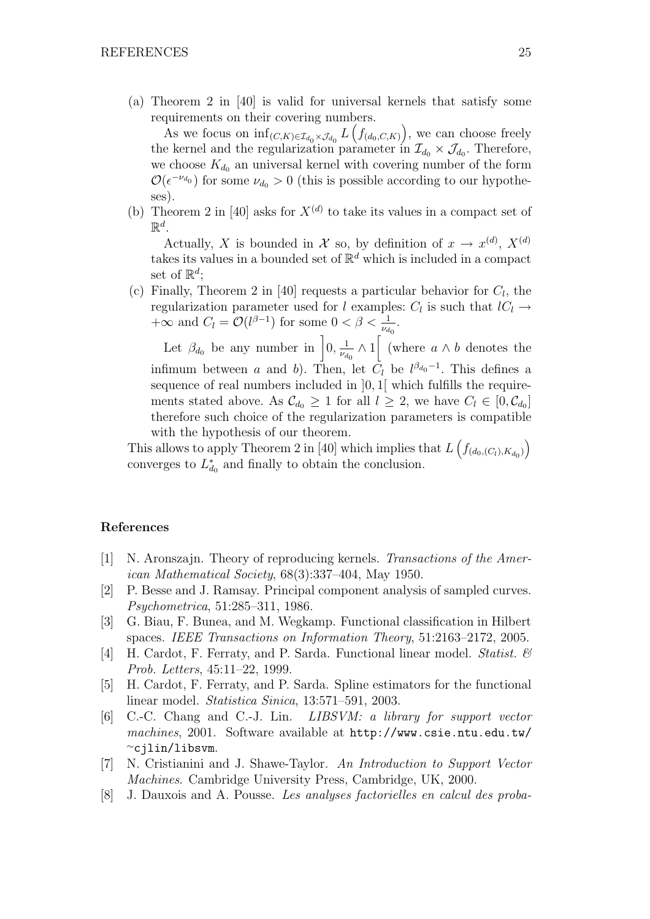(a) Theorem 2 in [40] is valid for universal kernels that satisfy some requirements on their covering numbers.

As we focus on  $\inf_{(C,K)\in\mathcal{I}_{d_0}\times\mathcal{J}_{d_0}} L\left(f_{(d_0,C,K)}\right)$ , we can choose freely the kernel and the regularization parameter in  $\mathcal{I}_{d_0} \times \mathcal{J}_{d_0}$ . Therefore, we choose  $K_{d_0}$  an universal kernel with covering number of the form  $\mathcal{O}(\epsilon^{-\nu_{d_0}})$  for some  $\nu_{d_0} > 0$  (this is possible according to our hypotheses).

(b) Theorem 2 in [40] asks for  $X^{(d)}$  to take its values in a compact set of  $\mathbb{R}^d$ .

Actually, X is bounded in X so, by definition of  $x \to x^{(d)}$ ,  $X^{(d)}$ takes its values in a bounded set of  $\mathbb{R}^d$  which is included in a compact set of  $\mathbb{R}^d$ ;

(c) Finally, Theorem 2 in [40] requests a particular behavior for  $C_l$ , the regularization parameter used for l examples:  $C_l$  is such that  $lC_l \rightarrow$  $+\infty$  and  $C_l = \mathcal{O}(l^{\beta-1})$  for some  $0 < \beta < \frac{1}{\nu_{d_0}}$ .

Let  $\beta_{d_0}$  be any number in  $\Big]0, \frac{1}{\nu_d}$  $\frac{1}{\nu_{d_0}} \wedge 1$  (where  $a \wedge b$  denotes the infimum between a and b). Then, let  $C_l$  be  $l^{\beta_{d_0}-1}$ . This defines a sequence of real numbers included in  $]0,1[$  which fulfills the requirements stated above. As  $\mathcal{C}_{d_0} \geq 1$  for all  $l \geq 2$ , we have  $C_l \in [0, \mathcal{C}_{d_0}]$ therefore such choice of the regularization parameters is compatible with the hypothesis of our theorem.

This allows to apply Theorem 2 in [40] which implies that  $L\left(f_{(d_0,(C_l),K_{d_0})}\right)$ converges to  $L_{d_0}^*$  and finally to obtain the conclusion.

### References

- [1] N. Aronszajn. Theory of reproducing kernels. Transactions of the American Mathematical Society, 68(3):337–404, May 1950.
- [2] P. Besse and J. Ramsay. Principal component analysis of sampled curves. Psychometrica, 51:285–311, 1986.
- [3] G. Biau, F. Bunea, and M. Wegkamp. Functional classification in Hilbert spaces. IEEE Transactions on Information Theory, 51:2163–2172, 2005.
- [4] H. Cardot, F. Ferraty, and P. Sarda. Functional linear model. Statist. & Prob. Letters, 45:11–22, 1999.
- [5] H. Cardot, F. Ferraty, and P. Sarda. Spline estimators for the functional linear model. Statistica Sinica, 13:571–591, 2003.
- [6] C.-C. Chang and C.-J. Lin. LIBSVM: a library for support vector machines, 2001. Software available at http://www.csie.ntu.edu.tw/ <sup>∼</sup>cjlin/libsvm.
- [7] N. Cristianini and J. Shawe-Taylor. An Introduction to Support Vector Machines. Cambridge University Press, Cambridge, UK, 2000.
- [8] J. Dauxois and A. Pousse. Les analyses factorielles en calcul des proba-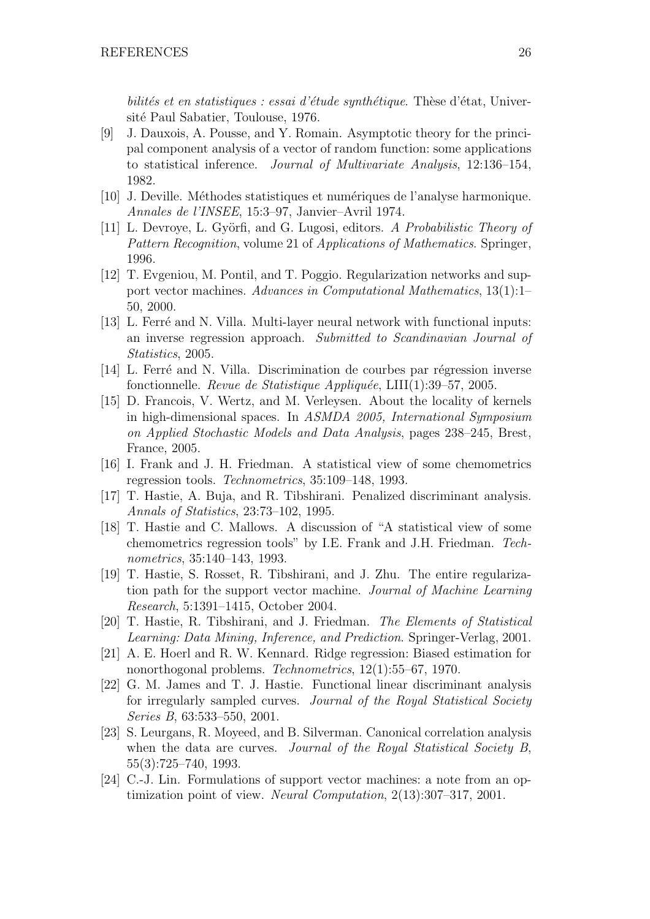bilités et en statistiques : essai d'étude synthétique. Thèse d'état, Université Paul Sabatier, Toulouse, 1976.

- [9] J. Dauxois, A. Pousse, and Y. Romain. Asymptotic theory for the principal component analysis of a vector of random function: some applications to statistical inference. Journal of Multivariate Analysis, 12:136–154, 1982.
- [10] J. Deville. M´ethodes statistiques et num´eriques de l'analyse harmonique. Annales de l'INSEE, 15:3–97, Janvier–Avril 1974.
- [11] L. Devroye, L. Györfi, and G. Lugosi, editors. A Probabilistic Theory of Pattern Recognition, volume 21 of Applications of Mathematics. Springer, 1996.
- [12] T. Evgeniou, M. Pontil, and T. Poggio. Regularization networks and support vector machines. Advances in Computational Mathematics, 13(1):1– 50, 2000.
- [13] L. Ferré and N. Villa. Multi-layer neural network with functional inputs: an inverse regression approach. Submitted to Scandinavian Journal of Statistics, 2005.
- [14] L. Ferré and N. Villa. Discrimination de courbes par régression inverse fonctionnelle. Revue de Statistique Appliquée, LIII(1):39–57, 2005.
- [15] D. Francois, V. Wertz, and M. Verleysen. About the locality of kernels in high-dimensional spaces. In ASMDA 2005, International Symposium on Applied Stochastic Models and Data Analysis, pages 238–245, Brest, France, 2005.
- [16] I. Frank and J. H. Friedman. A statistical view of some chemometrics regression tools. Technometrics, 35:109–148, 1993.
- [17] T. Hastie, A. Buja, and R. Tibshirani. Penalized discriminant analysis. Annals of Statistics, 23:73–102, 1995.
- [18] T. Hastie and C. Mallows. A discussion of "A statistical view of some chemometrics regression tools" by I.E. Frank and J.H. Friedman. Technometrics, 35:140–143, 1993.
- [19] T. Hastie, S. Rosset, R. Tibshirani, and J. Zhu. The entire regularization path for the support vector machine. Journal of Machine Learning Research, 5:1391–1415, October 2004.
- [20] T. Hastie, R. Tibshirani, and J. Friedman. The Elements of Statistical Learning: Data Mining, Inference, and Prediction. Springer-Verlag, 2001.
- [21] A. E. Hoerl and R. W. Kennard. Ridge regression: Biased estimation for nonorthogonal problems. Technometrics, 12(1):55–67, 1970.
- [22] G. M. James and T. J. Hastie. Functional linear discriminant analysis for irregularly sampled curves. Journal of the Royal Statistical Society Series B, 63:533–550, 2001.
- [23] S. Leurgans, R. Moyeed, and B. Silverman. Canonical correlation analysis when the data are curves. Journal of the Royal Statistical Society B, 55(3):725–740, 1993.
- [24] C.-J. Lin. Formulations of support vector machines: a note from an optimization point of view. Neural Computation, 2(13):307–317, 2001.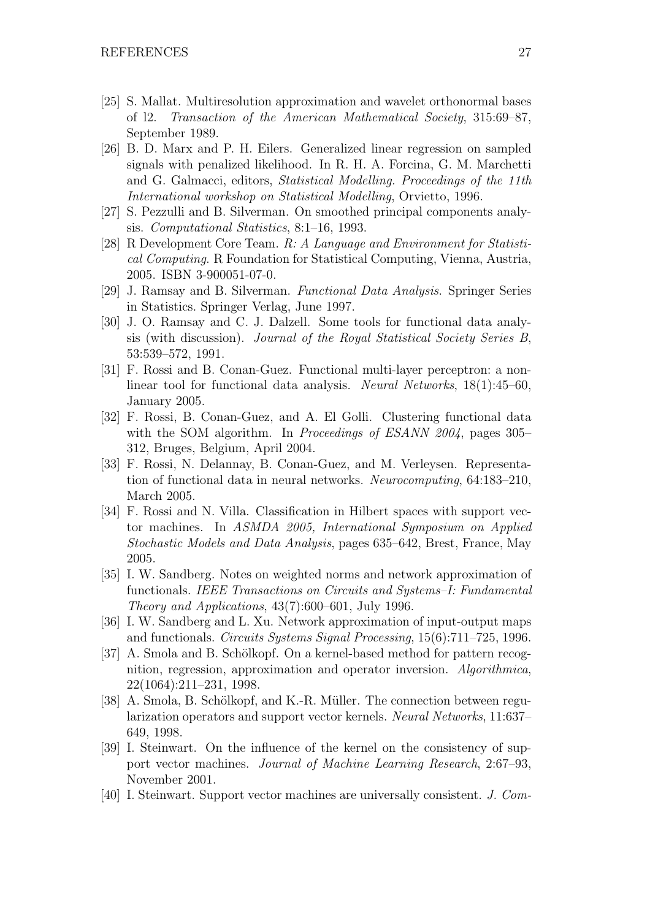- [25] S. Mallat. Multiresolution approximation and wavelet orthonormal bases of l2. Transaction of the American Mathematical Society, 315:69–87, September 1989.
- [26] B. D. Marx and P. H. Eilers. Generalized linear regression on sampled signals with penalized likelihood. In R. H. A. Forcina, G. M. Marchetti and G. Galmacci, editors, Statistical Modelling. Proceedings of the 11th International workshop on Statistical Modelling, Orvietto, 1996.
- [27] S. Pezzulli and B. Silverman. On smoothed principal components analysis. Computational Statistics, 8:1–16, 1993.
- [28] R Development Core Team. R: A Language and Environment for Statistical Computing. R Foundation for Statistical Computing, Vienna, Austria, 2005. ISBN 3-900051-07-0.
- [29] J. Ramsay and B. Silverman. Functional Data Analysis. Springer Series in Statistics. Springer Verlag, June 1997.
- [30] J. O. Ramsay and C. J. Dalzell. Some tools for functional data analysis (with discussion). Journal of the Royal Statistical Society Series B, 53:539–572, 1991.
- [31] F. Rossi and B. Conan-Guez. Functional multi-layer perceptron: a nonlinear tool for functional data analysis. Neural Networks, 18(1):45–60, January 2005.
- [32] F. Rossi, B. Conan-Guez, and A. El Golli. Clustering functional data with the SOM algorithm. In *Proceedings of ESANN 2004*, pages 305– 312, Bruges, Belgium, April 2004.
- [33] F. Rossi, N. Delannay, B. Conan-Guez, and M. Verleysen. Representation of functional data in neural networks. Neurocomputing, 64:183–210, March 2005.
- [34] F. Rossi and N. Villa. Classification in Hilbert spaces with support vector machines. In ASMDA 2005, International Symposium on Applied Stochastic Models and Data Analysis, pages 635–642, Brest, France, May 2005.
- [35] I. W. Sandberg. Notes on weighted norms and network approximation of functionals. IEEE Transactions on Circuits and Systems–I: Fundamental Theory and Applications, 43(7):600–601, July 1996.
- [36] I. W. Sandberg and L. Xu. Network approximation of input-output maps and functionals. Circuits Systems Signal Processing, 15(6):711–725, 1996.
- [37] A. Smola and B. Schölkopf. On a kernel-based method for pattern recognition, regression, approximation and operator inversion. Algorithmica, 22(1064):211–231, 1998.
- [38] A. Smola, B. Schölkopf, and K.-R. Müller. The connection between regularization operators and support vector kernels. Neural Networks, 11:637– 649, 1998.
- [39] I. Steinwart. On the influence of the kernel on the consistency of support vector machines. Journal of Machine Learning Research, 2:67–93, November 2001.
- [40] I. Steinwart. Support vector machines are universally consistent. J. Com-